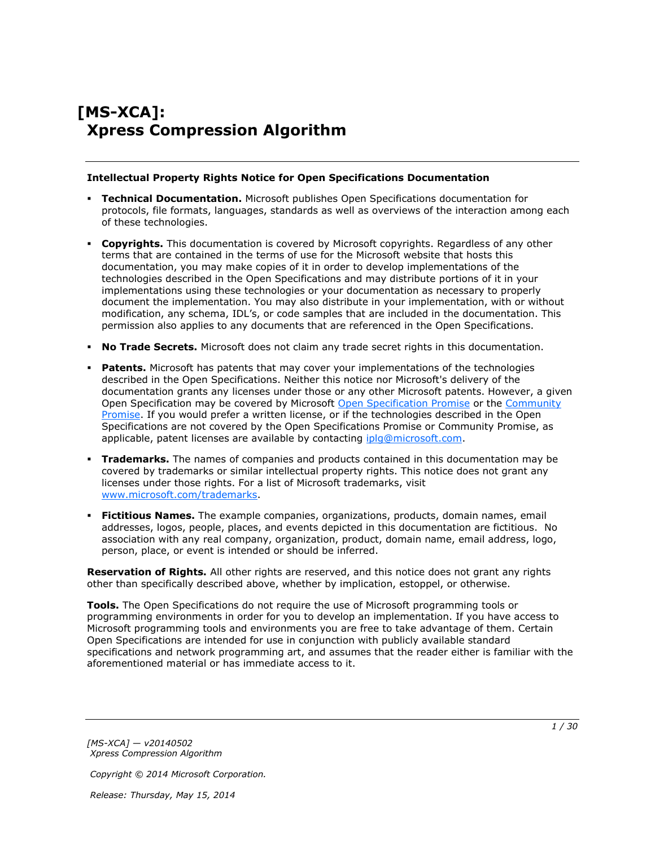# **[MS-XCA]: Xpress Compression Algorithm**

#### **Intellectual Property Rights Notice for Open Specifications Documentation**

- **Technical Documentation.** Microsoft publishes Open Specifications documentation for protocols, file formats, languages, standards as well as overviews of the interaction among each of these technologies.
- **Copyrights.** This documentation is covered by Microsoft copyrights. Regardless of any other terms that are contained in the terms of use for the Microsoft website that hosts this documentation, you may make copies of it in order to develop implementations of the technologies described in the Open Specifications and may distribute portions of it in your implementations using these technologies or your documentation as necessary to properly document the implementation. You may also distribute in your implementation, with or without modification, any schema, IDL's, or code samples that are included in the documentation. This permission also applies to any documents that are referenced in the Open Specifications.
- **No Trade Secrets.** Microsoft does not claim any trade secret rights in this documentation.
- **Patents.** Microsoft has patents that may cover your implementations of the technologies described in the Open Specifications. Neither this notice nor Microsoft's delivery of the documentation grants any licenses under those or any other Microsoft patents. However, a given Open Specification may be covered by Microsoft [Open Specification Promise](http://go.microsoft.com/fwlink/?LinkId=214445) or the [Community](http://go.microsoft.com/fwlink/?LinkId=214448)  [Promise.](http://go.microsoft.com/fwlink/?LinkId=214448) If you would prefer a written license, or if the technologies described in the Open Specifications are not covered by the Open Specifications Promise or Community Promise, as applicable, patent licenses are available by contacting ipla@microsoft.com.
- **Trademarks.** The names of companies and products contained in this documentation may be covered by trademarks or similar intellectual property rights. This notice does not grant any licenses under those rights. For a list of Microsoft trademarks, visit [www.microsoft.com/trademarks.](http://www.microsoft.com/trademarks)
- **Fictitious Names.** The example companies, organizations, products, domain names, email addresses, logos, people, places, and events depicted in this documentation are fictitious. No association with any real company, organization, product, domain name, email address, logo, person, place, or event is intended or should be inferred.

**Reservation of Rights.** All other rights are reserved, and this notice does not grant any rights other than specifically described above, whether by implication, estoppel, or otherwise.

**Tools.** The Open Specifications do not require the use of Microsoft programming tools or programming environments in order for you to develop an implementation. If you have access to Microsoft programming tools and environments you are free to take advantage of them. Certain Open Specifications are intended for use in conjunction with publicly available standard specifications and network programming art, and assumes that the reader either is familiar with the aforementioned material or has immediate access to it.

*[MS-XCA] — v20140502 Xpress Compression Algorithm* 

*Copyright © 2014 Microsoft Corporation.*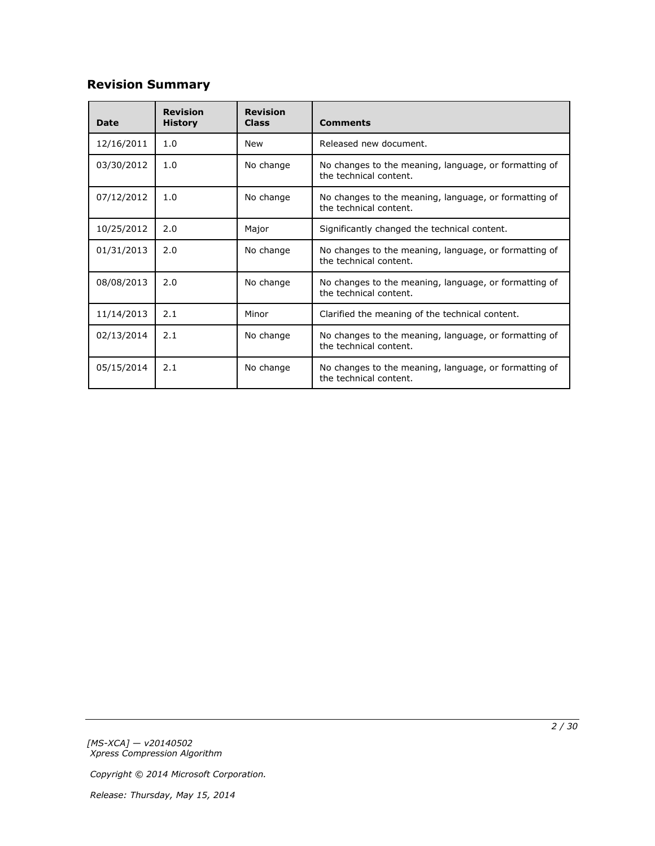# **Revision Summary**

| <b>Date</b> | <b>Revision</b><br><b>History</b> | <b>Revision</b><br><b>Class</b>                                                              | <b>Comments</b>                                                                 |
|-------------|-----------------------------------|----------------------------------------------------------------------------------------------|---------------------------------------------------------------------------------|
| 12/16/2011  | 1.0                               | <b>New</b>                                                                                   | Released new document.                                                          |
| 03/30/2012  | 1.0                               | No change<br>No changes to the meaning, language, or formatting of<br>the technical content. |                                                                                 |
| 07/12/2012  | 1.0                               | No change<br>No changes to the meaning, language, or formatting of<br>the technical content. |                                                                                 |
| 10/25/2012  | 2.0                               | Major                                                                                        | Significantly changed the technical content.                                    |
| 01/31/2013  | 2.0                               | No change                                                                                    | No changes to the meaning, language, or formatting of<br>the technical content. |
| 08/08/2013  | 2.0                               | No change<br>No changes to the meaning, language, or formatting of<br>the technical content. |                                                                                 |
| 11/14/2013  | 2.1                               | Minor                                                                                        | Clarified the meaning of the technical content.                                 |
| 02/13/2014  | 2.1                               | No change                                                                                    | No changes to the meaning, language, or formatting of<br>the technical content. |
| 05/15/2014  | 2.1                               | No change                                                                                    | No changes to the meaning, language, or formatting of<br>the technical content. |

*[MS-XCA] — v20140502 Xpress Compression Algorithm* 

*Copyright © 2014 Microsoft Corporation.*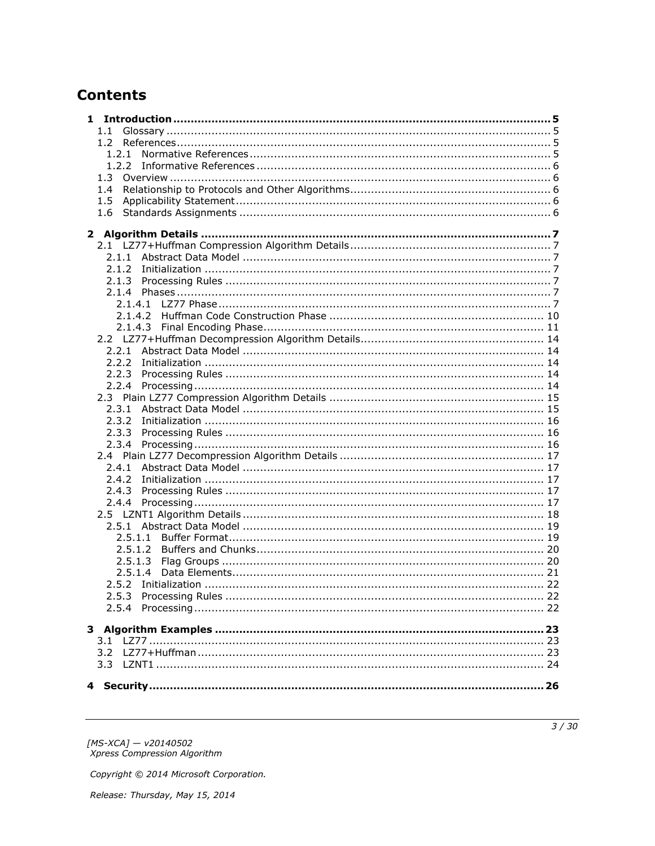# **Contents**

| $1.1 -$ |  |
|---------|--|
|         |  |
|         |  |
|         |  |
|         |  |
| 1.4     |  |
| 1.5     |  |
| 1.6     |  |
|         |  |
|         |  |
|         |  |
|         |  |
|         |  |
|         |  |
|         |  |
|         |  |
|         |  |
|         |  |
|         |  |
|         |  |
|         |  |
|         |  |
|         |  |
|         |  |
|         |  |
| 2.3.2   |  |
|         |  |
|         |  |
|         |  |
|         |  |
| 2.4.2   |  |
|         |  |
|         |  |
|         |  |
|         |  |
| 2.5.1.2 |  |
| 2.5.1.3 |  |
| 2.5.1.4 |  |
|         |  |
|         |  |
|         |  |
|         |  |
|         |  |
|         |  |
| 3.2     |  |
|         |  |
|         |  |
|         |  |

[MS-XCA] — v20140502<br>Xpress Compression Algorithm

Copyright © 2014 Microsoft Corporation.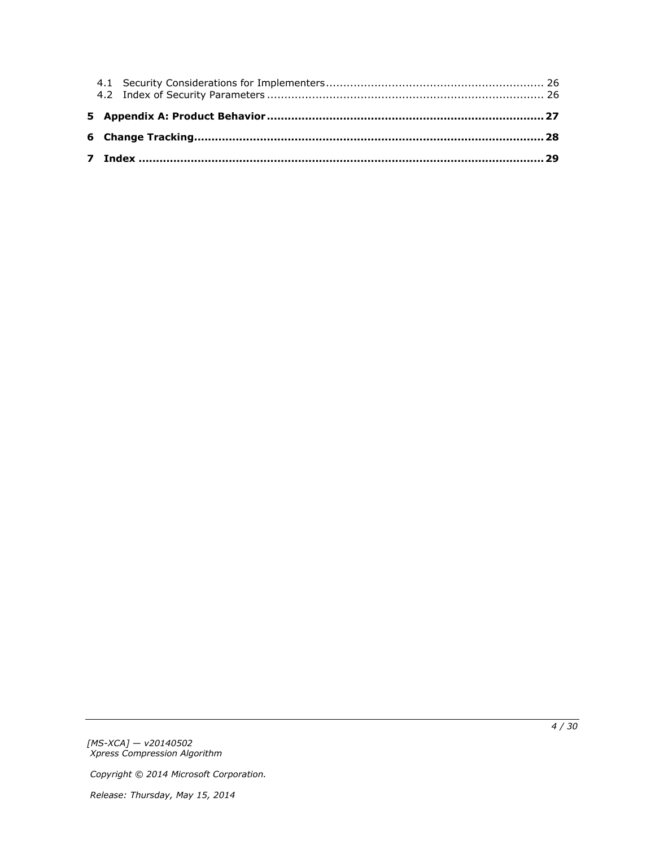*[MS-XCA] — v20140502 Xpress Compression Algorithm* 

*Copyright © 2014 Microsoft Corporation.*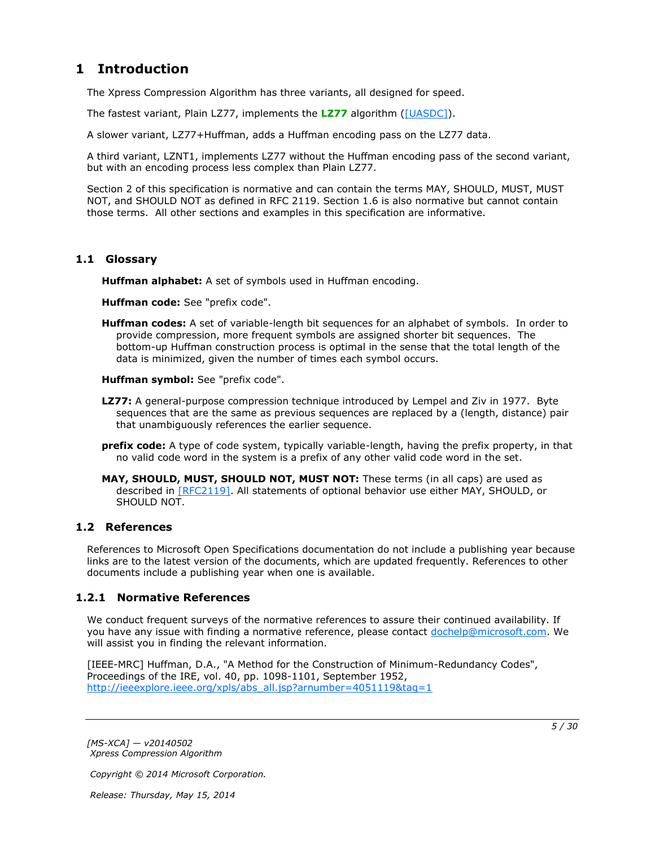# <span id="page-4-0"></span>**1 Introduction**

<span id="page-4-11"></span>The Xpress Compression Algorithm has three variants, all designed for speed.

The fastest variant, Plain LZ77, implements the **[LZ77](#page-4-4)** algorithm [\(\[UASDC\]\)](http://go.microsoft.com/fwlink/?LinkId=90549).

A slower variant, LZ77+Huffman, adds a Huffman encoding pass on the LZ77 data.

A third variant, LZNT1, implements LZ77 without the Huffman encoding pass of the second variant, but with an encoding process less complex than Plain LZ77.

Section 2 of this specification is normative and can contain the terms MAY, SHOULD, MUST, MUST NOT, and SHOULD NOT as defined in RFC 2119. Section 1.6 is also normative but cannot contain those terms. All other sections and examples in this specification are informative.

### <span id="page-4-1"></span>**1.1 Glossary**

<span id="page-4-10"></span><span id="page-4-7"></span>**Huffman alphabet:** A set of symbols used in Huffman encoding.

<span id="page-4-8"></span>**Huffman code:** See "prefix code".

<span id="page-4-6"></span>**Huffman codes:** A set of variable-length bit sequences for an alphabet of symbols. In order to provide compression, more frequent symbols are assigned shorter bit sequences. The bottom-up Huffman construction process is optimal in the sense that the total length of the data is minimized, given the number of times each symbol occurs.

<span id="page-4-9"></span>**Huffman symbol:** See "prefix code".

- <span id="page-4-4"></span>**LZ77:** A general-purpose compression technique introduced by Lempel and Ziv in 1977. Byte sequences that are the same as previous sequences are replaced by a (length, distance) pair that unambiguously references the earlier sequence.
- <span id="page-4-5"></span>**prefix code:** A type of code system, typically variable-length, having the prefix property, in that no valid code word in the system is a prefix of any other valid code word in the set.
- **MAY, SHOULD, MUST, SHOULD NOT, MUST NOT:** These terms (in all caps) are used as described in [\[RFC2119\].](http://go.microsoft.com/fwlink/?LinkId=90317) All statements of optional behavior use either MAY, SHOULD, or SHOULD NOT.

### <span id="page-4-2"></span>**1.2 References**

References to Microsoft Open Specifications documentation do not include a publishing year because links are to the latest version of the documents, which are updated frequently. References to other documents include a publishing year when one is available.

### <span id="page-4-3"></span>**1.2.1 Normative References**

<span id="page-4-12"></span>We conduct frequent surveys of the normative references to assure their continued availability. If you have any issue with finding a normative reference, please contact [dochelp@microsoft.com.](mailto:dochelp@microsoft.com) We will assist you in finding the relevant information.

[IEEE-MRC] Huffman, D.A., "A Method for the Construction of Minimum-Redundancy Codes", Proceedings of the IRE, vol. 40, pp. 1098-1101, September 1952, [http://ieeexplore.ieee.org/xpls/abs\\_all.jsp?arnumber=4051119&tag=1](http://go.microsoft.com/fwlink/?LinkId=227659)

*[MS-XCA] — v20140502 Xpress Compression Algorithm* 

*Copyright © 2014 Microsoft Corporation.*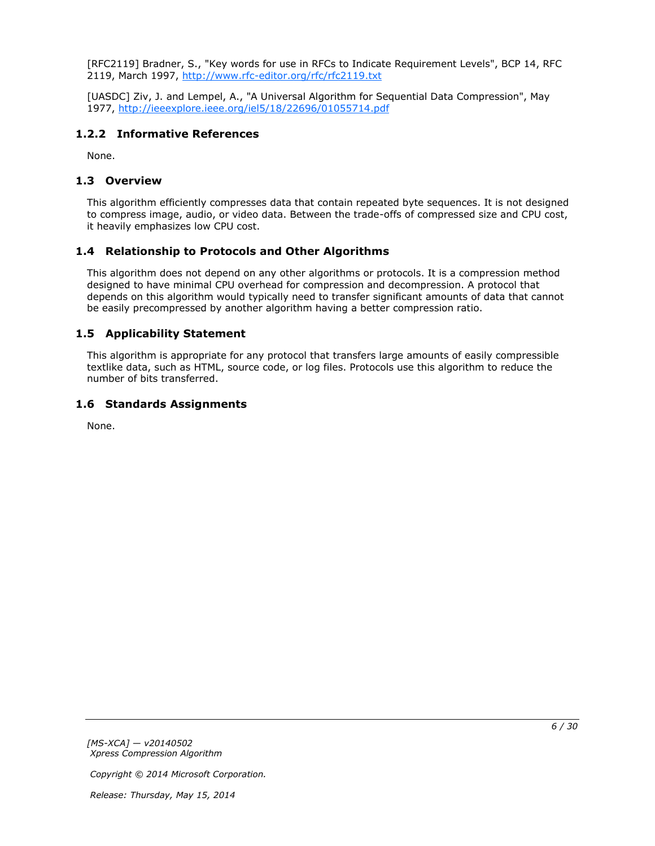[RFC2119] Bradner, S., "Key words for use in RFCs to Indicate Requirement Levels", BCP 14, RFC 2119, March 1997, [http://www.rfc-editor.org/rfc/rfc2119.txt](http://go.microsoft.com/fwlink/?LinkId=90317)

[UASDC] Ziv, J. and Lempel, A., "A Universal Algorithm for Sequential Data Compression", May 1977, [http://ieeexplore.ieee.org/iel5/18/22696/01055714.pdf](http://go.microsoft.com/fwlink/?LinkId=90549)

### <span id="page-5-0"></span>**1.2.2 Informative References**

<span id="page-5-7"></span><span id="page-5-6"></span>None.

### <span id="page-5-1"></span>**1.3 Overview**

This algorithm efficiently compresses data that contain repeated byte sequences. It is not designed to compress image, audio, or video data. Between the trade-offs of compressed size and CPU cost, it heavily emphasizes low CPU cost.

### <span id="page-5-2"></span>**1.4 Relationship to Protocols and Other Algorithms**

<span id="page-5-8"></span>This algorithm does not depend on any other algorithms or protocols. It is a compression method designed to have minimal CPU overhead for compression and decompression. A protocol that depends on this algorithm would typically need to transfer significant amounts of data that cannot be easily precompressed by another algorithm having a better compression ratio.

### <span id="page-5-3"></span>**1.5 Applicability Statement**

<span id="page-5-5"></span>This algorithm is appropriate for any protocol that transfers large amounts of easily compressible textlike data, such as HTML, source code, or log files. Protocols use this algorithm to reduce the number of bits transferred.

### <span id="page-5-4"></span>**1.6 Standards Assignments**

<span id="page-5-9"></span>None.

*[MS-XCA] — v20140502 Xpress Compression Algorithm* 

*Copyright © 2014 Microsoft Corporation.*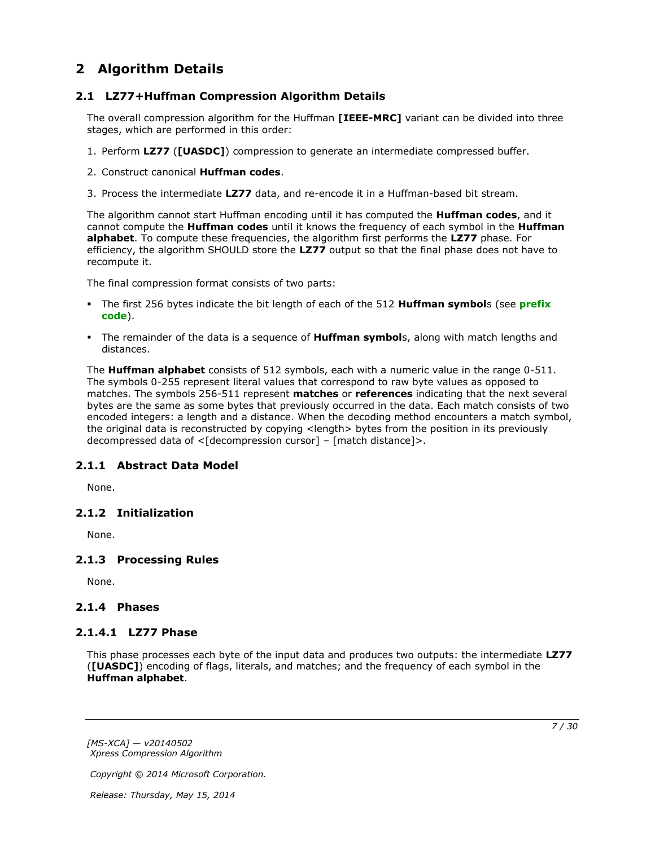## <span id="page-6-0"></span>**2 Algorithm Details**

### <span id="page-6-1"></span>**2.1 LZ77+Huffman Compression Algorithm Details**

<span id="page-6-10"></span>The overall compression algorithm for the Huffman **[IEEE-MRC]** variant can be divided into three stages, which are performed in this order:

- 1. Perform **LZ77** (**[UASDC]**) compression to generate an intermediate compressed buffer.
- 2. Construct canonical **Huffman codes**.
- 3. Process the intermediate **LZ77** data, and re-encode it in a Huffman-based bit stream.

The algorithm cannot start Huffman encoding until it has computed the **Huffman codes**, and it cannot compute the **Huffman codes** until it knows the frequency of each symbol in the **Huffman alphabet**. To compute these frequencies, the algorithm first performs the **LZ77** phase. For efficiency, the algorithm SHOULD store the **LZ77** output so that the final phase does not have to recompute it.

The final compression format consists of two parts:

- The first 256 bytes indicate the bit length of each of the 512 **Huffman symbol**s (see **[prefix](#page-4-5)  [code](#page-4-5)**).
- The remainder of the data is a sequence of **Huffman symbol**s, along with match lengths and distances.

The **Huffman alphabet** consists of 512 symbols, each with a numeric value in the range 0-511. The symbols 0-255 represent literal values that correspond to raw byte values as opposed to matches. The symbols 256-511 represent **matches** or **references** indicating that the next several bytes are the same as some bytes that previously occurred in the data. Each match consists of two encoded integers: a length and a distance. When the decoding method encounters a match symbol, the original data is reconstructed by copying <length> bytes from the position in its previously decompressed data of <[decompression cursor] – [match distance]>.

### <span id="page-6-2"></span>**2.1.1 Abstract Data Model**

<span id="page-6-9"></span><span id="page-6-8"></span>None.

### <span id="page-6-3"></span>**2.1.2 Initialization**

<span id="page-6-11"></span>None.

### <span id="page-6-4"></span>**2.1.3 Processing Rules**

None.

### <span id="page-6-5"></span>**2.1.4 Phases**

### <span id="page-6-6"></span>**2.1.4.1 LZ77 Phase**

<span id="page-6-7"></span>This phase processes each byte of the input data and produces two outputs: the intermediate **LZ77** (**[UASDC]**) encoding of flags, literals, and matches; and the frequency of each symbol in the **Huffman alphabet**.

*[MS-XCA] — v20140502 Xpress Compression Algorithm* 

*Copyright © 2014 Microsoft Corporation.*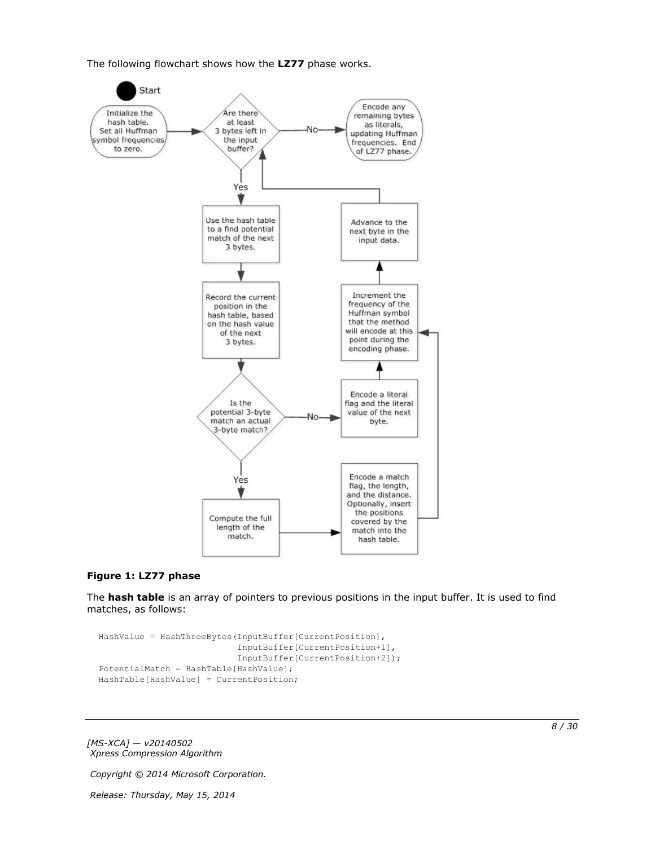The following flowchart shows how the **LZ77** phase works.



#### **Figure 1: LZ77 phase**

The **hash table** is an array of pointers to previous positions in the input buffer. It is used to find matches, as follows:

```
HashValue = HashThreeBytes(InputBuffer[CurrentPosition],
                            InputBuffer[CurrentPosition+1],
                           InputBuffer[CurrentPosition+2]);
PotentialMatch = HashTable[HashValue];
HashTable[HashValue] = CurrentPosition;
```
*[MS-XCA] — v20140502 Xpress Compression Algorithm* 

*Copyright © 2014 Microsoft Corporation.*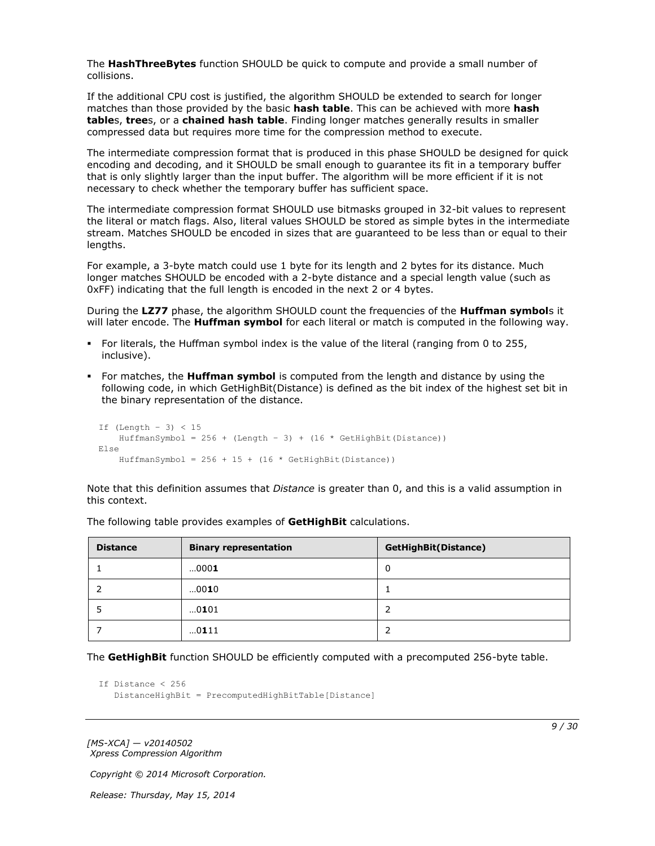The **HashThreeBytes** function SHOULD be quick to compute and provide a small number of collisions.

If the additional CPU cost is justified, the algorithm SHOULD be extended to search for longer matches than those provided by the basic **hash table**. This can be achieved with more **hash table**s, **tree**s, or a **chained hash table**. Finding longer matches generally results in smaller compressed data but requires more time for the compression method to execute.

The intermediate compression format that is produced in this phase SHOULD be designed for quick encoding and decoding, and it SHOULD be small enough to guarantee its fit in a temporary buffer that is only slightly larger than the input buffer. The algorithm will be more efficient if it is not necessary to check whether the temporary buffer has sufficient space.

The intermediate compression format SHOULD use bitmasks grouped in 32-bit values to represent the literal or match flags. Also, literal values SHOULD be stored as simple bytes in the intermediate stream. Matches SHOULD be encoded in sizes that are guaranteed to be less than or equal to their lengths.

For example, a 3-byte match could use 1 byte for its length and 2 bytes for its distance. Much longer matches SHOULD be encoded with a 2-byte distance and a special length value (such as 0xFF) indicating that the full length is encoded in the next 2 or 4 bytes.

During the **LZ77** phase, the algorithm SHOULD count the frequencies of the **Huffman symbol**s it will later encode. The **Huffman symbol** for each literal or match is computed in the following way.

- For literals, the Huffman symbol index is the value of the literal (ranging from 0 to 255, inclusive).
- For matches, the **Huffman symbol** is computed from the length and distance by using the following code, in which GetHighBit(Distance) is defined as the bit index of the highest set bit in the binary representation of the distance.

```
If (Length – 3) < 15
   HuffmanSymbol = 256 + (Length - 3) + (16 * GetHighBit(Distance))Else
    HuffmanSymbol = 256 + 15 + (16 * \text{ GetHighBit (Distance)})
```
Note that this definition assumes that *Distance* is greater than 0, and this is a valid assumption in this context.

| <b>Distance</b> | <b>Binary representation</b> | <b>GetHighBit(Distance)</b> |
|-----------------|------------------------------|-----------------------------|
|                 | 0001                         | 0                           |
|                 | 0010                         |                             |
|                 | 0101                         | 2                           |
|                 | 0111                         | 2                           |

The following table provides examples of **GetHighBit** calculations.

The **GetHighBit** function SHOULD be efficiently computed with a precomputed 256-byte table.

```
If Distance < 256
    DistanceHighBit = PrecomputedHighBitTable[Distance]
```
*[MS-XCA] — v20140502 Xpress Compression Algorithm* 

*Copyright © 2014 Microsoft Corporation.*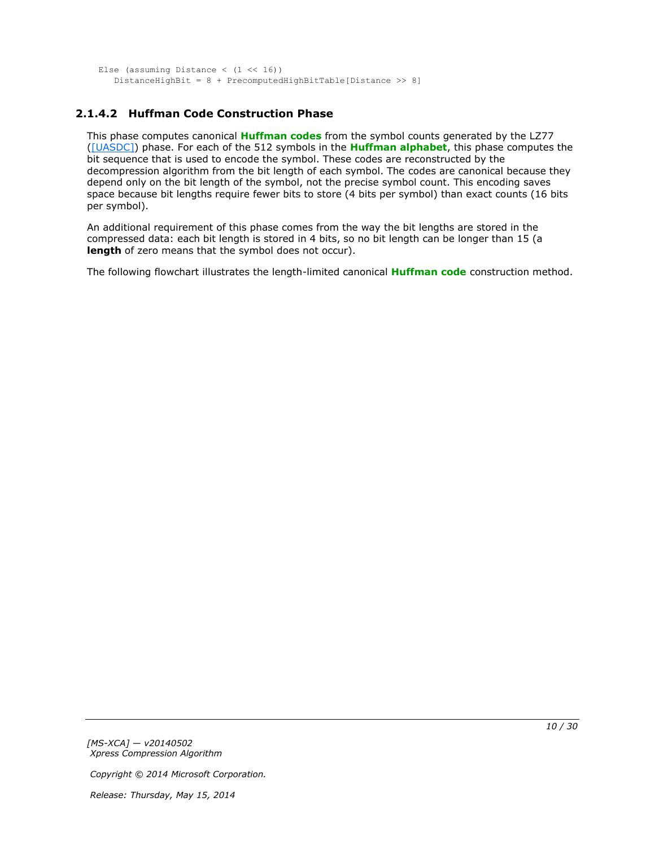```
Else (assuming Distance (1 \le 16))
    DistanceHighBit = 8 + PrecomputedHighBitTable[Distance >> 8]
```
## <span id="page-9-0"></span>**2.1.4.2 Huffman Code Construction Phase**

This phase computes canonical **[Huffman codes](#page-4-6)** from the symbol counts generated by the LZ77 [\(\[UASDC\]\)](http://go.microsoft.com/fwlink/?LinkId=90549) phase. For each of the 512 symbols in the **[Huffman alphabet](#page-4-7)**, this phase computes the bit sequence that is used to encode the symbol. These codes are reconstructed by the decompression algorithm from the bit length of each symbol. The codes are canonical because they depend only on the bit length of the symbol, not the precise symbol count. This encoding saves space because bit lengths require fewer bits to store (4 bits per symbol) than exact counts (16 bits per symbol).

An additional requirement of this phase comes from the way the bit lengths are stored in the compressed data: each bit length is stored in 4 bits, so no bit length can be longer than 15 (a **length** of zero means that the symbol does not occur).

The following flowchart illustrates the length-limited canonical **[Huffman code](#page-4-8)** construction method.

*[MS-XCA] — v20140502 Xpress Compression Algorithm* 

*Copyright © 2014 Microsoft Corporation.*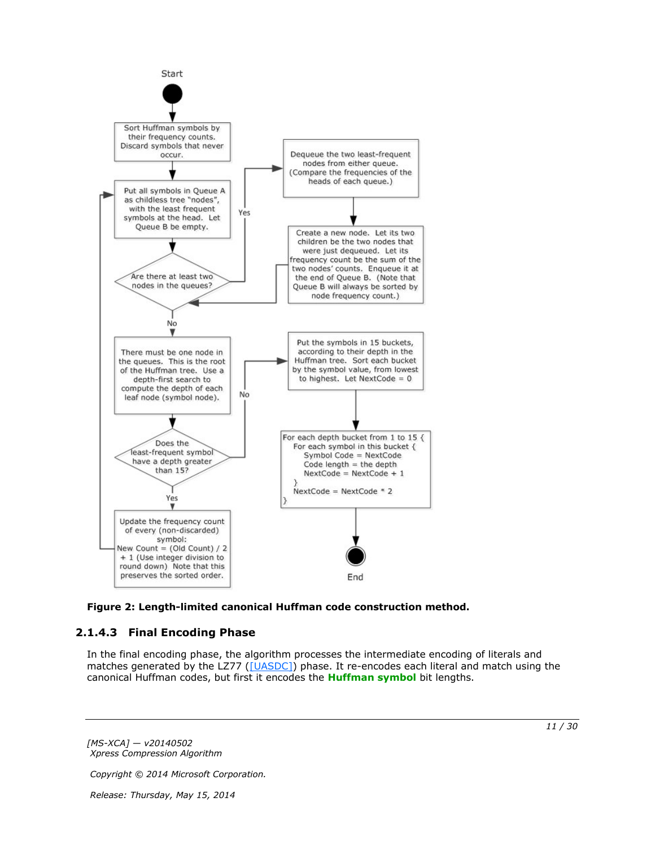

<span id="page-10-1"></span>

## <span id="page-10-0"></span>**2.1.4.3 Final Encoding Phase**

In the final encoding phase, the algorithm processes the intermediate encoding of literals and matches generated by the LZ77 [\(\[UASDC\]\)](http://go.microsoft.com/fwlink/?LinkId=90549) phase. It re-encodes each literal and match using the canonical Huffman codes, but first it encodes the **[Huffman symbol](#page-4-9)** bit lengths.

*[MS-XCA] — v20140502 Xpress Compression Algorithm* 

*Copyright © 2014 Microsoft Corporation.*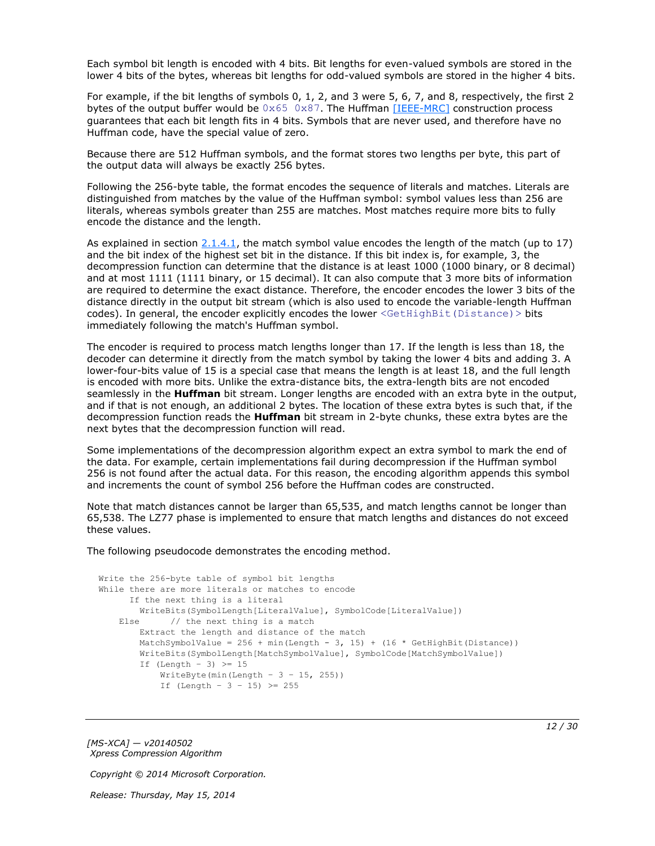Each symbol bit length is encoded with 4 bits. Bit lengths for even-valued symbols are stored in the lower 4 bits of the bytes, whereas bit lengths for odd-valued symbols are stored in the higher 4 bits.

For example, if the bit lengths of symbols 0, 1, 2, and 3 were 5, 6, 7, and 8, respectively, the first 2 bytes of the output buffer would be  $0 \times 65$   $0 \times 87$ . The Huffman [\[IEEE-MRC\]](http://go.microsoft.com/fwlink/?LinkId=227659) construction process guarantees that each bit length fits in 4 bits. Symbols that are never used, and therefore have no Huffman code, have the special value of zero.

Because there are 512 Huffman symbols, and the format stores two lengths per byte, this part of the output data will always be exactly 256 bytes.

Following the 256-byte table, the format encodes the sequence of literals and matches. Literals are distinguished from matches by the value of the Huffman symbol: symbol values less than 256 are literals, whereas symbols greater than 255 are matches. Most matches require more bits to fully encode the distance and the length.

As explained in section  $2.1.4.1$ , the match symbol value encodes the length of the match (up to 17) and the bit index of the highest set bit in the distance. If this bit index is, for example, 3, the decompression function can determine that the distance is at least 1000 (1000 binary, or 8 decimal) and at most 1111 (1111 binary, or 15 decimal). It can also compute that 3 more bits of information are required to determine the exact distance. Therefore, the encoder encodes the lower 3 bits of the distance directly in the output bit stream (which is also used to encode the variable-length Huffman codes). In general, the encoder explicitly encodes the lower <GetHighBit (Distance) > bits immediately following the match's Huffman symbol.

The encoder is required to process match lengths longer than 17. If the length is less than 18, the decoder can determine it directly from the match symbol by taking the lower 4 bits and adding 3. A lower-four-bits value of 15 is a special case that means the length is at least 18, and the full length is encoded with more bits. Unlike the extra-distance bits, the extra-length bits are not encoded seamlessly in the **Huffman** bit stream. Longer lengths are encoded with an extra byte in the output, and if that is not enough, an additional 2 bytes. The location of these extra bytes is such that, if the decompression function reads the **Huffman** bit stream in 2-byte chunks, these extra bytes are the next bytes that the decompression function will read.

Some implementations of the decompression algorithm expect an extra symbol to mark the end of the data. For example, certain implementations fail during decompression if the Huffman symbol 256 is not found after the actual data. For this reason, the encoding algorithm appends this symbol and increments the count of symbol 256 before the Huffman codes are constructed.

Note that match distances cannot be larger than 65,535, and match lengths cannot be longer than 65,538. The LZ77 phase is implemented to ensure that match lengths and distances do not exceed these values.

The following pseudocode demonstrates the encoding method.

```
Write the 256-byte table of symbol bit lengths
While there are more literals or matches to encode
      If the next thing is a literal
        WriteBits(SymbolLength[LiteralValue], SymbolCode[LiteralValue])
   Else // the next thing is a match
        Extract the length and distance of the match
       MatchSymbolValue = 256 + min(Length - 3, 15) + (16 * GetHighBit(Distance)) WriteBits(SymbolLength[MatchSymbolValue], SymbolCode[MatchSymbolValue])
        If (Length - 3) \geq 15
           WriteByte(min(Length - 3 - 15, 255))
           If (Length - 3 - 15) >= 255
```
*[MS-XCA] — v20140502 Xpress Compression Algorithm* 

*Copyright © 2014 Microsoft Corporation.*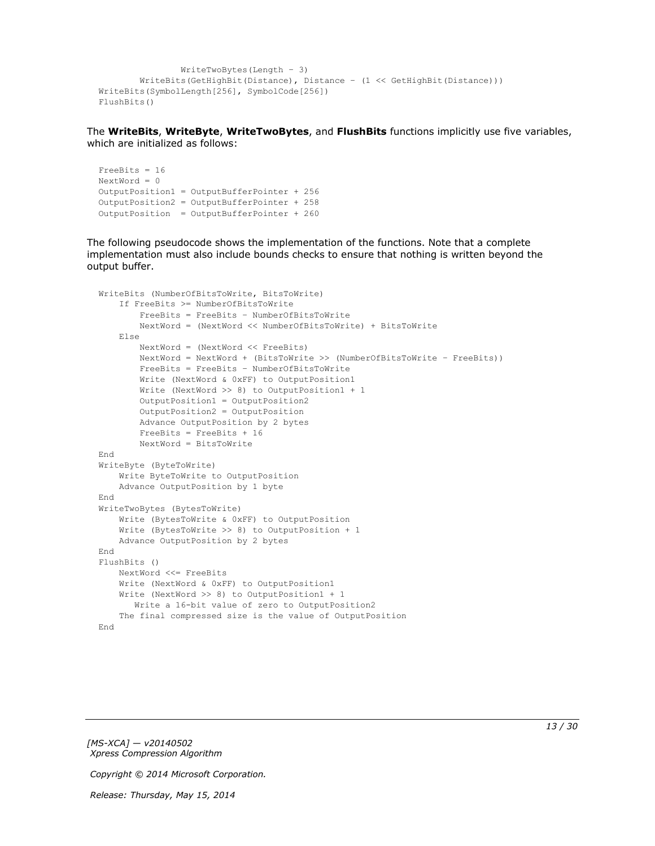```
 WriteTwoBytes(Length – 3)
         WriteBits(GetHighBit(Distance), Distance – (1 << GetHighBit(Distance)))
WriteBits(SymbolLength[256], SymbolCode[256])
FlushBits()
```
The **WriteBits**, **WriteByte**, **WriteTwoBytes**, and **FlushBits** functions implicitly use five variables, which are initialized as follows:

```
FreeBits = 16
NextWord = 0OutputPosition1 = OutputBufferPointer + 256
OutputPosition2 = OutputBufferPointer + 258 
OutputPosition = OutputBufferPointer + 260
```
The following pseudocode shows the implementation of the functions. Note that a complete implementation must also include bounds checks to ensure that nothing is written beyond the output buffer.

```
WriteBits (NumberOfBitsToWrite, BitsToWrite)
     If FreeBits >= NumberOfBitsToWrite
         FreeBits = FreeBits – NumberOfBitsToWrite
         NextWord = (NextWord << NumberOfBitsToWrite) + BitsToWrite
     Else
         NextWord = (NextWord << FreeBits)
         NextWord = NextWord + (BitsToWrite >> (NumberOfBitsToWrite – FreeBits))
         FreeBits = FreeBits – NumberOfBitsToWrite
         Write (NextWord & 0xFF) to OutputPosition1
         Write (NextWord >> 8) to OutputPosition1 + 1
         OutputPosition1 = OutputPosition2
         OutputPosition2 = OutputPosition
         Advance OutputPosition by 2 bytes
         FreeBits = FreeBits + 16
         NextWord = BitsToWrite
End
WriteByte (ByteToWrite)
     Write ByteToWrite to OutputPosition
     Advance OutputPosition by 1 byte
End
WriteTwoBytes (BytesToWrite)
     Write (BytesToWrite & 0xFF) to OutputPosition
     Write (BytesToWrite >> 8) to OutputPosition + 1
     Advance OutputPosition by 2 bytes
End
FlushBits ()
    NextWord <<= FreeBits
     Write (NextWord & 0xFF) to OutputPosition1
     Write (NextWord >> 8) to OutputPosition1 + 1
        Write a 16-bit value of zero to OutputPosition2
     The final compressed size is the value of OutputPosition
End
```
*[MS-XCA] — v20140502 Xpress Compression Algorithm* 

*Copyright © 2014 Microsoft Corporation.*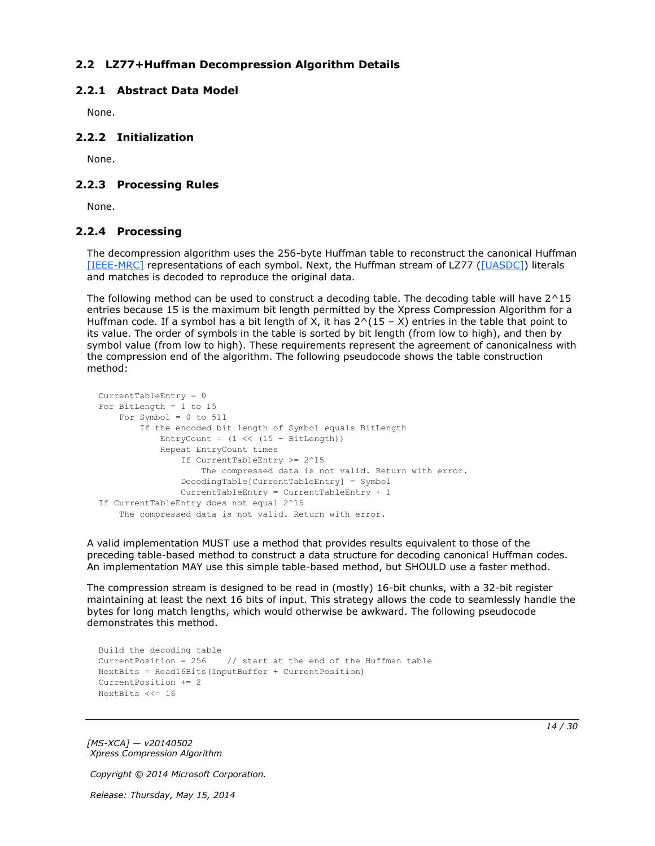## <span id="page-13-0"></span>**2.2 LZ77+Huffman Decompression Algorithm Details**

### <span id="page-13-1"></span>**2.2.1 Abstract Data Model**

<span id="page-13-6"></span><span id="page-13-5"></span>None.

### <span id="page-13-2"></span>**2.2.2 Initialization**

<span id="page-13-8"></span>None.

### <span id="page-13-3"></span>**2.2.3 Processing Rules**

<span id="page-13-7"></span>None.

### <span id="page-13-4"></span>**2.2.4 Processing**

The decompression algorithm uses the 256-byte Huffman table to reconstruct the canonical Huffman [\[IEEE-MRC\]](http://go.microsoft.com/fwlink/?LinkId=227659) representations of each symbol. Next, the Huffman stream of LZ77 [\(\[UASDC\]\)](http://go.microsoft.com/fwlink/?LinkId=90549) literals and matches is decoded to reproduce the original data.

The following method can be used to construct a decoding table. The decoding table will have  $2^{\wedge}15$ entries because 15 is the maximum bit length permitted by the Xpress Compression Algorithm for a Huffman code. If a symbol has a bit length of X, it has  $2^{\wedge}(15 - X)$  entries in the table that point to its value. The order of symbols in the table is sorted by bit length (from low to high), and then by symbol value (from low to high). These requirements represent the agreement of canonicalness with the compression end of the algorithm. The following pseudocode shows the table construction method:

```
CurrentTableEntry = 0
For BitLength = 1 to 15
   For Symbol = 0 to 511
         If the encoded bit length of Symbol equals BitLength
            EntryCount = (1 \le (15 - \text{BitLength})) Repeat EntryCount times
                 If CurrentTableEntry >= 2^15
                     The compressed data is not valid. Return with error.
                 DecodingTable[CurrentTableEntry] = Symbol
                 CurrentTableEntry = CurrentTableEntry + 1
If CurrentTableEntry does not equal 2^15
     The compressed data is not valid. Return with error.
```
A valid implementation MUST use a method that provides results equivalent to those of the preceding table-based method to construct a data structure for decoding canonical Huffman codes. An implementation MAY use this simple table-based method, but SHOULD use a faster method.

The compression stream is designed to be read in (mostly) 16-bit chunks, with a 32-bit register maintaining at least the next 16 bits of input. This strategy allows the code to seamlessly handle the bytes for long match lengths, which would otherwise be awkward. The following pseudocode demonstrates this method.

```
Build the decoding table
CurrentPosition = 256 // start at the end of the Huffman table
NextBits = Read16Bits(InputBuffer + CurrentPosition)
CurrentPosition += 2
NextBits <<= 16
```
*[MS-XCA] — v20140502 Xpress Compression Algorithm* 

*Copyright © 2014 Microsoft Corporation.*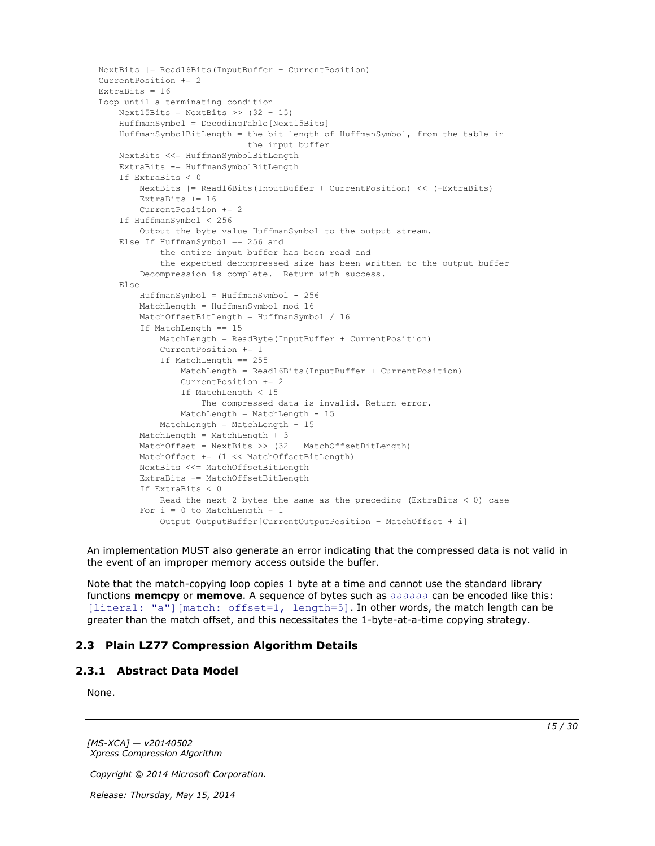```
NextBits |= Read16Bits(InputBuffer + CurrentPosition)
CurrentPosition += 2
ExtraBits = 16
Loop until a terminating condition
    Next15Bits = NextBits >> (32 - 15) HuffmanSymbol = DecodingTable[Next15Bits]
     HuffmanSymbolBitLength = the bit length of HuffmanSymbol, from the table in
                              the input buffer
     NextBits <<= HuffmanSymbolBitLength
     ExtraBits -= HuffmanSymbolBitLength
     If ExtraBits < 0
         NextBits |= Read16Bits(InputBuffer + CurrentPosition) << (-ExtraBits)
         ExtraBits += 16
         CurrentPosition += 2
     If HuffmanSymbol < 256
         Output the byte value HuffmanSymbol to the output stream.
     Else If HuffmanSymbol == 256 and
             the entire input buffer has been read and
             the expected decompressed size has been written to the output buffer
         Decompression is complete. Return with success.
     Else
         HuffmanSymbol = HuffmanSymbol - 256
         MatchLength = HuffmanSymbol mod 16
         MatchOffsetBitLength = HuffmanSymbol / 16
         If MatchLength == 15
             MatchLength = ReadByte(InputBuffer + CurrentPosition)
             CurrentPosition += 1
             If MatchLength == 255
                 MatchLength = Read16Bits(InputBuffer + CurrentPosition)
                 CurrentPosition += 2
                 If MatchLength < 15
                     The compressed data is invalid. Return error.
                 MatchLength = MatchLength - 15
             MatchLength = MatchLength + 15
         MatchLength = MatchLength + 3
         MatchOffset = NextBits >> (32 – MatchOffsetBitLength)
         MatchOffset += (1 << MatchOffsetBitLength)
         NextBits <<= MatchOffsetBitLength
         ExtraBits -= MatchOffsetBitLength
         If ExtraBits < 0
           Read the next 2 bytes the same as the preceding (ExtraBits < 0) case
        For i = 0 to MatchLength - 1
             Output OutputBuffer[CurrentOutputPosition – MatchOffset + i]
```
An implementation MUST also generate an error indicating that the compressed data is not valid in the event of an improper memory access outside the buffer.

Note that the match-copying loop copies 1 byte at a time and cannot use the standard library functions **memcpy** or **memove**. A sequence of bytes such as aaaaaa can be encoded like this: [literal: "a"] [match: offset=1, length=5]. In other words, the match length can be greater than the match offset, and this necessitates the 1-byte-at-a-time copying strategy.

### <span id="page-14-0"></span>**2.3 Plain LZ77 Compression Algorithm Details**

#### <span id="page-14-1"></span>**2.3.1 Abstract Data Model**

<span id="page-14-3"></span><span id="page-14-2"></span>None.

*[MS-XCA] — v20140502 Xpress Compression Algorithm* 

*Copyright © 2014 Microsoft Corporation.*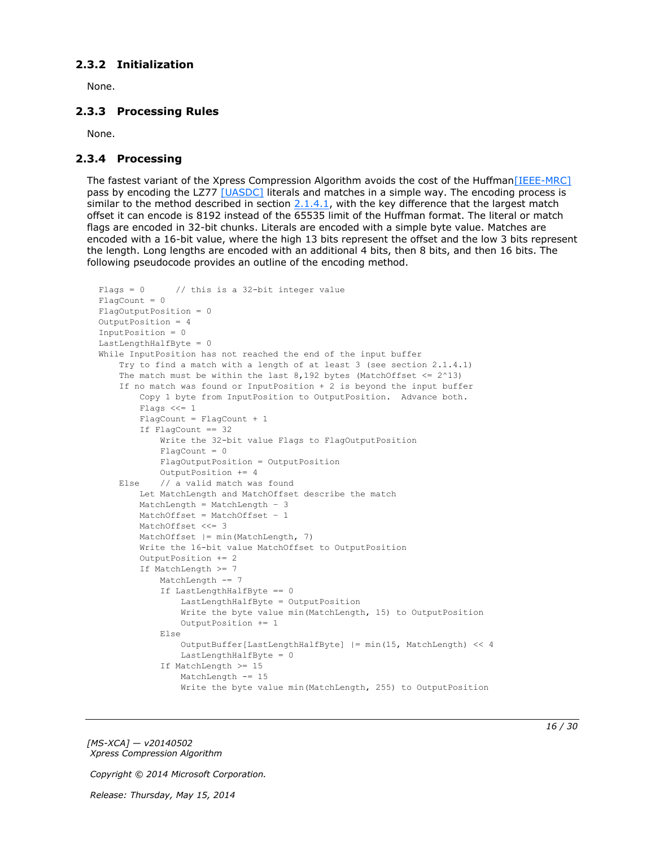### <span id="page-15-0"></span>**2.3.2 Initialization**

<span id="page-15-5"></span><span id="page-15-3"></span>None.

### <span id="page-15-1"></span>**2.3.3 Processing Rules**

<span id="page-15-4"></span>None.

### <span id="page-15-2"></span>**2.3.4 Processing**

The fastest variant of the Xpress Compression Algorithm avoids the cost of the Huffma[n\[IEEE-MRC\]](http://go.microsoft.com/fwlink/?LinkId=227659) pass by encoding the LZ77 [\[UASDC\]](http://go.microsoft.com/fwlink/?LinkId=90549) literals and matches in a simple way. The encoding process is similar to the method described in section  $2.1.4.1$ , with the key difference that the largest match offset it can encode is 8192 instead of the 65535 limit of the Huffman format. The literal or match flags are encoded in 32-bit chunks. Literals are encoded with a simple byte value. Matches are encoded with a 16-bit value, where the high 13 bits represent the offset and the low 3 bits represent the length. Long lengths are encoded with an additional 4 bits, then 8 bits, and then 16 bits. The following pseudocode provides an outline of the encoding method.

```
Flags = 0 // this is a 32-bit integer value
FlacCount = 0FlagOutputPosition = 0
OutputPosition = 4
InputPosition = 0
LastLengthHalfByte = 0
While InputPosition has not reached the end of the input buffer
     Try to find a match with a length of at least 3 (see section 2.1.4.1)
    The match must be within the last 8,192 bytes (MatchOffset \leq 2^13)
     If no match was found or InputPosition + 2 is beyond the input buffer
         Copy 1 byte from InputPosition to OutputPosition. Advance both.
         Flags <<= 1
         FlagCount = FlagCount + 1
         If FlagCount == 32
             Write the 32-bit value Flags to FlagOutputPosition
            FlagCount = 0 FlagOutputPosition = OutputPosition
             OutputPosition += 4
     Else // a valid match was found
         Let MatchLength and MatchOffset describe the match
         MatchLength = MatchLength – 3
         MatchOffset = MatchOffset – 1
        MatchOffset <<= 3
         MatchOffset |= min(MatchLength, 7)
         Write the 16-bit value MatchOffset to OutputPosition
         OutputPosition += 2
         If MatchLength >= 7
            MatchLength -= 7
             If LastLengthHalfByte == 0
                 LastLengthHalfByte = OutputPosition
                 Write the byte value min(MatchLength, 15) to OutputPosition
                 OutputPosition += 1
             Else
                OutputBuffer[LastLengthHalfByte] |= min(15, MatchLength) << 4
                 LastLengthHalfByte = 0
             If MatchLength >= 15
                MatchLength -= 15
                 Write the byte value min(MatchLength, 255) to OutputPosition
```
*[MS-XCA] — v20140502 Xpress Compression Algorithm* 

*Copyright © 2014 Microsoft Corporation.*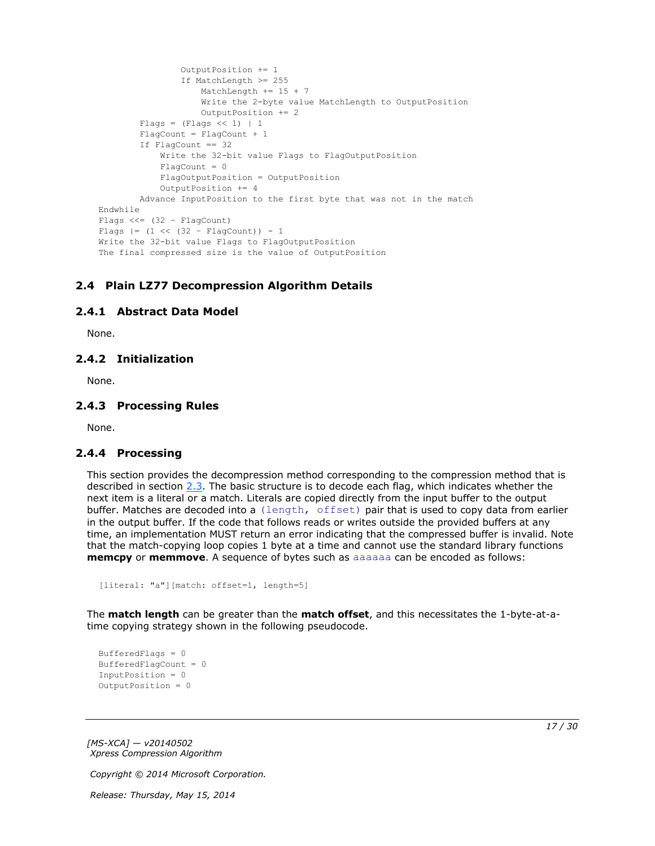```
 OutputPosition += 1
                  If MatchLength >= 255
                      MatchLength += 15 + 7
                     Write the 2-byte value MatchLength to OutputPosition
                     OutputPosition += 2
        Flags = (Flags << 1) | 1
         FlagCount = FlagCount + 1
         If FlagCount == 32
             Write the 32-bit value Flags to FlagOutputPosition
            Fla<sub>q</sub>Count = 0 FlagOutputPosition = OutputPosition
             OutputPosition += 4
         Advance InputPosition to the first byte that was not in the match
Endwhile
Flags << = (32 - FlaqCount)Flags |= (1 \lt\lt (32 - \text{FlagCount})) - 1Write the 32-bit value Flags to FlagOutputPosition
The final compressed size is the value of OutputPosition
```
### <span id="page-16-0"></span>**2.4 Plain LZ77 Decompression Algorithm Details**

### <span id="page-16-1"></span>**2.4.1 Abstract Data Model**

<span id="page-16-7"></span><span id="page-16-6"></span><span id="page-16-5"></span>None.

### <span id="page-16-2"></span>**2.4.2 Initialization**

<span id="page-16-9"></span>None.

### <span id="page-16-3"></span>**2.4.3 Processing Rules**

<span id="page-16-8"></span>None.

### <span id="page-16-4"></span>**2.4.4 Processing**

This section provides the decompression method corresponding to the compression method that is described in section [2.3.](#page-14-2) The basic structure is to decode each flag, which indicates whether the next item is a literal or a match. Literals are copied directly from the input buffer to the output buffer. Matches are decoded into a (length, offset) pair that is used to copy data from earlier in the output buffer. If the code that follows reads or writes outside the provided buffers at any time, an implementation MUST return an error indicating that the compressed buffer is invalid. Note that the match-copying loop copies 1 byte at a time and cannot use the standard library functions **memcpy** or **memmove**. A sequence of bytes such as aaaaaa can be encoded as follows:

```
[literal: "a"][match: offset=1, length=5]
```
The **match length** can be greater than the **match offset**, and this necessitates the 1-byte-at-atime copying strategy shown in the following pseudocode.

```
BufferedFlags = 0
BufferedFlagCount = 0
InputPosition = 0
OutputPosition = 0
```
*[MS-XCA] — v20140502 Xpress Compression Algorithm* 

*Copyright © 2014 Microsoft Corporation.*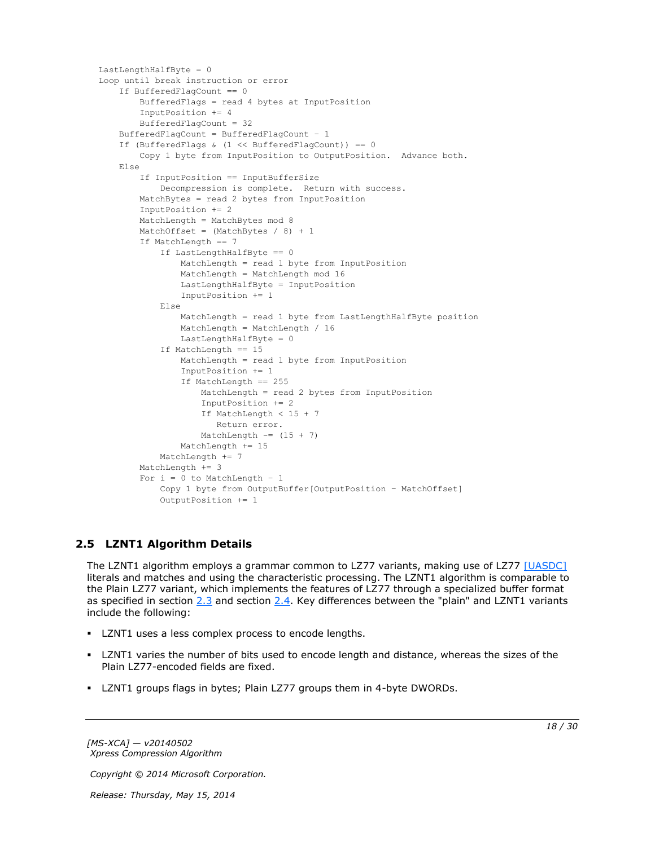```
LastLengthHalfByte = 0
Loop until break instruction or error
     If BufferedFlagCount == 0
        BufferedFlags = read 4 bytes at InputPosition
         InputPosition += 4
         BufferedFlagCount = 32
     BufferedFlagCount = BufferedFlagCount – 1
     If (BufferedFlags & (1 << BufferedFlagCount)) == 0
        Copy 1 byte from InputPosition to OutputPosition. Advance both.
     Else
         If InputPosition == InputBufferSize
             Decompression is complete. Return with success.
         MatchBytes = read 2 bytes from InputPosition
         InputPosition += 2
         MatchLength = MatchBytes mod 8
        MatchOffset = (MatchBytes / 8) + 1 If MatchLength == 7
             If LastLengthHalfByte == 0
                 MatchLength = read 1 byte from InputPosition
                MatchLength = MatchLength mod 16
                 LastLengthHalfByte = InputPosition
                InputPosition += 1
             Else
                MatchLength = read 1 byte from LastLengthHalfByte position
                 MatchLength = MatchLength / 16
                 LastLengthHalfByte = 0
             If MatchLength == 15
                 MatchLength = read 1 byte from InputPosition
                 InputPosition += 1
                 If MatchLength == 255
                    MatchLength = read 2 bytes from InputPosition
                    InputPosition += 2
                   If MatchLength < 15 + 7
                       Return error.
                    MatchLength == (15 + 7) MatchLength += 15
            MatchLength += 7
         MatchLength += 3
        For i = 0 to MatchLength - 1
             Copy 1 byte from OutputBuffer[OutputPosition – MatchOffset]
             OutputPosition += 1
```
## <span id="page-17-0"></span>**2.5 LZNT1 Algorithm Details**

<span id="page-17-1"></span>The LZNT1 algorithm employs a grammar common to LZ77 variants, making use of LZ77 [\[UASDC\]](http://go.microsoft.com/fwlink/?LinkId=90549) literals and matches and using the characteristic processing. The LZNT1 algorithm is comparable to the Plain LZ77 variant, which implements the features of LZ77 through a specialized buffer format as specified in section [2.3](#page-14-2) and section [2.4.](#page-16-5) Key differences between the "plain" and LZNT1 variants include the following:

- **LZNT1** uses a less complex process to encode lengths.
- LZNT1 varies the number of bits used to encode length and distance, whereas the sizes of the Plain LZ77-encoded fields are fixed.
- LZNT1 groups flags in bytes; Plain LZ77 groups them in 4-byte DWORDs.

*[MS-XCA] — v20140502 Xpress Compression Algorithm* 

*Copyright © 2014 Microsoft Corporation.*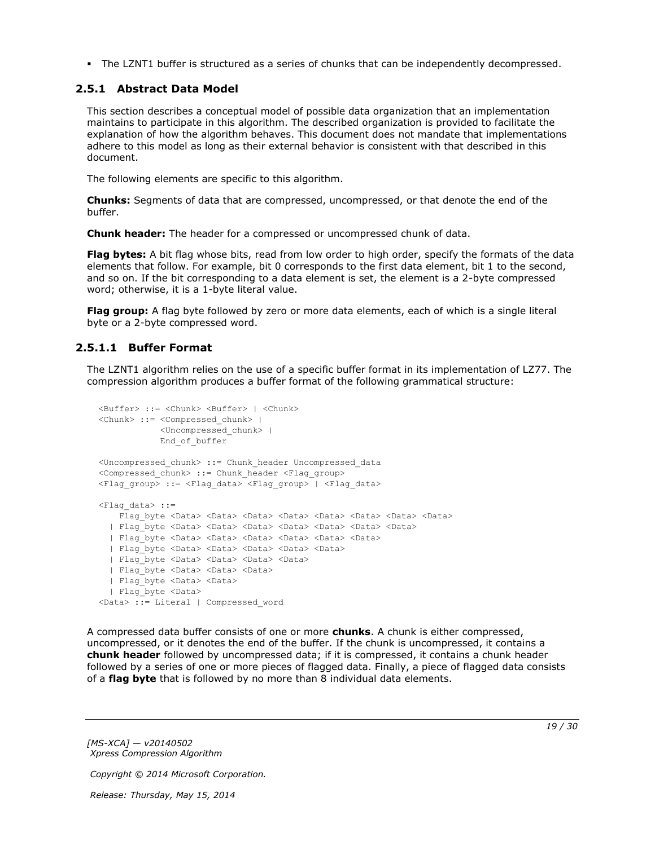<span id="page-18-2"></span>The LZNT1 buffer is structured as a series of chunks that can be independently decompressed.

### <span id="page-18-0"></span>**2.5.1 Abstract Data Model**

This section describes a conceptual model of possible data organization that an implementation maintains to participate in this algorithm. The described organization is provided to facilitate the explanation of how the algorithm behaves. This document does not mandate that implementations adhere to this model as long as their external behavior is consistent with that described in this document.

The following elements are specific to this algorithm.

**Chunks:** Segments of data that are compressed, uncompressed, or that denote the end of the buffer.

**Chunk header:** The header for a compressed or uncompressed chunk of data.

**Flag bytes:** A bit flag whose bits, read from low order to high order, specify the formats of the data elements that follow. For example, bit 0 corresponds to the first data element, bit 1 to the second, and so on. If the bit corresponding to a data element is set, the element is a 2-byte compressed word; otherwise, it is a 1-byte literal value.

**Flag group:** A flag byte followed by zero or more data elements, each of which is a single literal byte or a 2-byte compressed word.

### <span id="page-18-1"></span>**2.5.1.1 Buffer Format**

<span id="page-18-3"></span>The LZNT1 algorithm relies on the use of a specific buffer format in its implementation of LZ77. The compression algorithm produces a buffer format of the following grammatical structure:

```
<Buffer> ::= <Chunk> <Buffer> | <Chunk>
<Chunk> ::= <Compressed_chunk> | 
            <Uncompressed_chunk> |
            End_of_buffer
<Uncompressed_chunk> ::= Chunk_header Uncompressed_data
<Compressed_chunk> ::= Chunk_header <Flag_group>
<Flag_group> ::= <Flag_data> <Flag_group> | <Flag_data>
\langleFlag data> ::=
   Flag byte <Data> <Data> <Data> <Data> <Data> <Data> <Data> <Data> <Data> <Data>
   | Flag_byte <Data> <Data> <Data> <Data> <Data> <Data> <Data>
  | Flag_byte <Data> <Data> <Data> <Data> <Data> <Data>
  | Flag_byte <Data> <Data> <Data> <Data> <Data>
 | Flag_byte <Data> <Data> <Data> <Data>
  | Flag_byte <Data> <Data> <Data> 
  | Flag_byte <Data> <Data>
  | Flag_byte <Data> 
<Data> ::= Literal | Compressed_word
```
A compressed data buffer consists of one or more **chunks**. A chunk is either compressed, uncompressed, or it denotes the end of the buffer. If the chunk is uncompressed, it contains a **chunk header** followed by uncompressed data; if it is compressed, it contains a chunk header followed by a series of one or more pieces of flagged data. Finally, a piece of flagged data consists of a **flag byte** that is followed by no more than 8 individual data elements.

*[MS-XCA] — v20140502 Xpress Compression Algorithm* 

*Copyright © 2014 Microsoft Corporation.*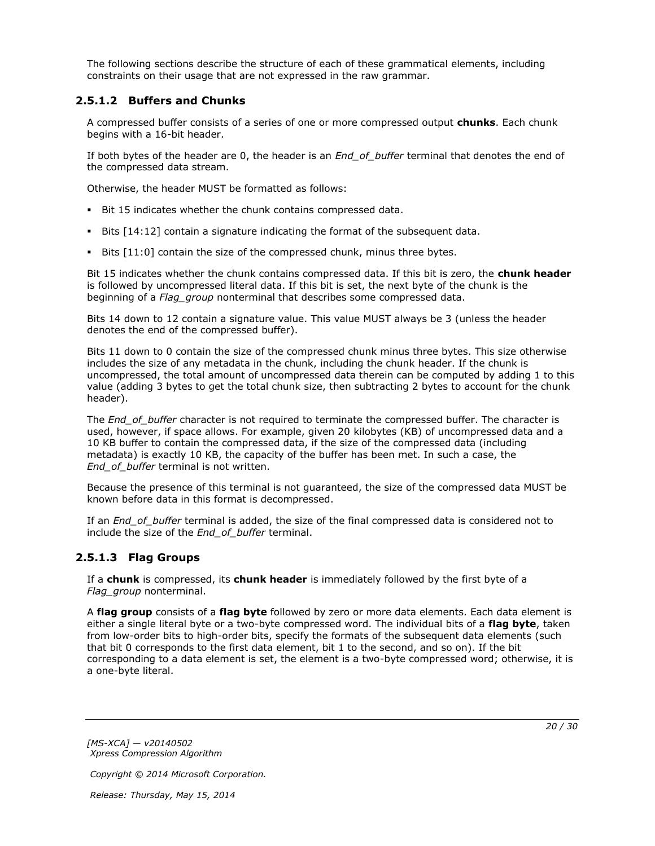The following sections describe the structure of each of these grammatical elements, including constraints on their usage that are not expressed in the raw grammar.

### <span id="page-19-0"></span>**2.5.1.2 Buffers and Chunks**

A compressed buffer consists of a series of one or more compressed output **chunks**. Each chunk begins with a 16-bit header.

If both bytes of the header are 0, the header is an *End\_of\_buffer* terminal that denotes the end of the compressed data stream.

Otherwise, the header MUST be formatted as follows:

- Bit 15 indicates whether the chunk contains compressed data.
- Bits [14:12] contain a signature indicating the format of the subsequent data.
- Bits [11:0] contain the size of the compressed chunk, minus three bytes.

Bit 15 indicates whether the chunk contains compressed data. If this bit is zero, the **chunk header** is followed by uncompressed literal data. If this bit is set, the next byte of the chunk is the beginning of a *Flag\_group* nonterminal that describes some compressed data.

Bits 14 down to 12 contain a signature value. This value MUST always be 3 (unless the header denotes the end of the compressed buffer).

Bits 11 down to 0 contain the size of the compressed chunk minus three bytes. This size otherwise includes the size of any metadata in the chunk, including the chunk header. If the chunk is uncompressed, the total amount of uncompressed data therein can be computed by adding 1 to this value (adding 3 bytes to get the total chunk size, then subtracting 2 bytes to account for the chunk header).

The *End* of buffer character is not required to terminate the compressed buffer. The character is used, however, if space allows. For example, given 20 kilobytes (KB) of uncompressed data and a 10 KB buffer to contain the compressed data, if the size of the compressed data (including metadata) is exactly 10 KB, the capacity of the buffer has been met. In such a case, the *End\_of\_buffer* terminal is not written.

Because the presence of this terminal is not guaranteed, the size of the compressed data MUST be known before data in this format is decompressed.

If an *End\_of\_buffer* terminal is added, the size of the final compressed data is considered not to include the size of the *End\_of\_buffer* terminal.

### <span id="page-19-1"></span>**2.5.1.3 Flag Groups**

If a **chunk** is compressed, its **chunk header** is immediately followed by the first byte of a *Flag\_group* nonterminal.

A **flag group** consists of a **flag byte** followed by zero or more data elements. Each data element is either a single literal byte or a two-byte compressed word. The individual bits of a **flag byte**, taken from low-order bits to high-order bits, specify the formats of the subsequent data elements (such that bit 0 corresponds to the first data element, bit 1 to the second, and so on). If the bit corresponding to a data element is set, the element is a two-byte compressed word; otherwise, it is a one-byte literal.

*[MS-XCA] — v20140502 Xpress Compression Algorithm* 

*Copyright © 2014 Microsoft Corporation.*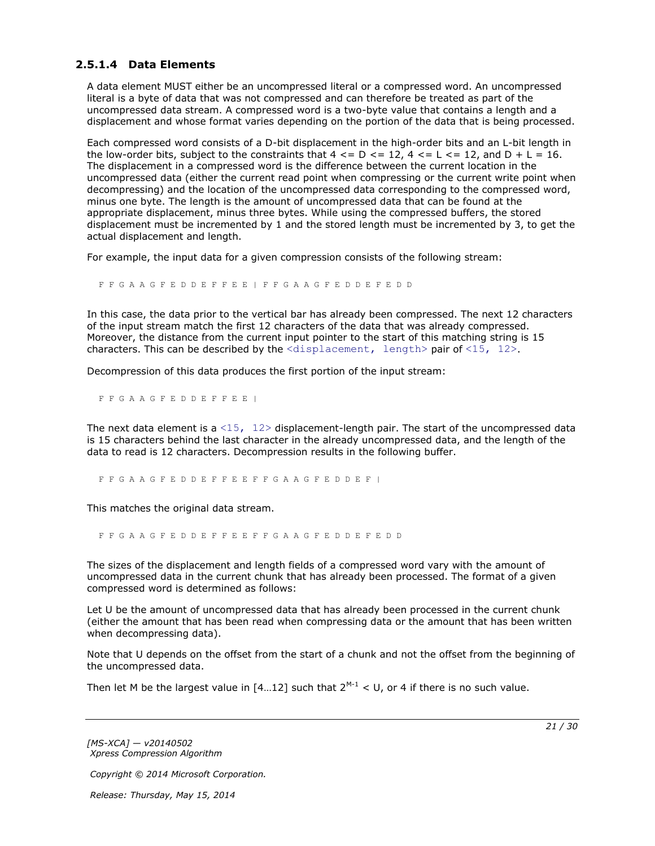### <span id="page-20-0"></span>**2.5.1.4 Data Elements**

A data element MUST either be an uncompressed literal or a compressed word. An uncompressed literal is a byte of data that was not compressed and can therefore be treated as part of the uncompressed data stream. A compressed word is a two-byte value that contains a length and a displacement and whose format varies depending on the portion of the data that is being processed.

Each compressed word consists of a D-bit displacement in the high-order bits and an L-bit length in the low-order bits, subject to the constraints that  $4 \leq D \leq 12$ ,  $4 \leq L \leq 12$ , and  $D + L = 16$ . The displacement in a compressed word is the difference between the current location in the uncompressed data (either the current read point when compressing or the current write point when decompressing) and the location of the uncompressed data corresponding to the compressed word, minus one byte. The length is the amount of uncompressed data that can be found at the appropriate displacement, minus three bytes. While using the compressed buffers, the stored displacement must be incremented by 1 and the stored length must be incremented by 3, to get the actual displacement and length.

For example, the input data for a given compression consists of the following stream:

F F G A A G F E D D E F F E E | F F G A A G F E D D E F E D D

In this case, the data prior to the vertical bar has already been compressed. The next 12 characters of the input stream match the first 12 characters of the data that was already compressed. Moreover, the distance from the current input pointer to the start of this matching string is 15 characters. This can be described by the  $\langle$ displacement, length> pair of  $\langle 15, 12 \rangle$ .

Decompression of this data produces the first portion of the input stream:

F F G A A G F E D D E F F E E |

The next data element is a  $\langle 15, 12 \rangle$  displacement-length pair. The start of the uncompressed data is 15 characters behind the last character in the already uncompressed data, and the length of the data to read is 12 characters. Decompression results in the following buffer.

F F G A A G F E D D E F F E E F F G A A G F E D D E F |

This matches the original data stream.

F F G A A G F E D D E F F E E F F G A A G F E D D E F E D D

The sizes of the displacement and length fields of a compressed word vary with the amount of uncompressed data in the current chunk that has already been processed. The format of a given compressed word is determined as follows:

Let U be the amount of uncompressed data that has already been processed in the current chunk (either the amount that has been read when compressing data or the amount that has been written when decompressing data).

Note that U depends on the offset from the start of a chunk and not the offset from the beginning of the uncompressed data.

Then let M be the largest value in  $[4...12]$  such that  $2^{M-1}$  < U, or 4 if there is no such value.

*[MS-XCA] — v20140502 Xpress Compression Algorithm* 

*Copyright © 2014 Microsoft Corporation.*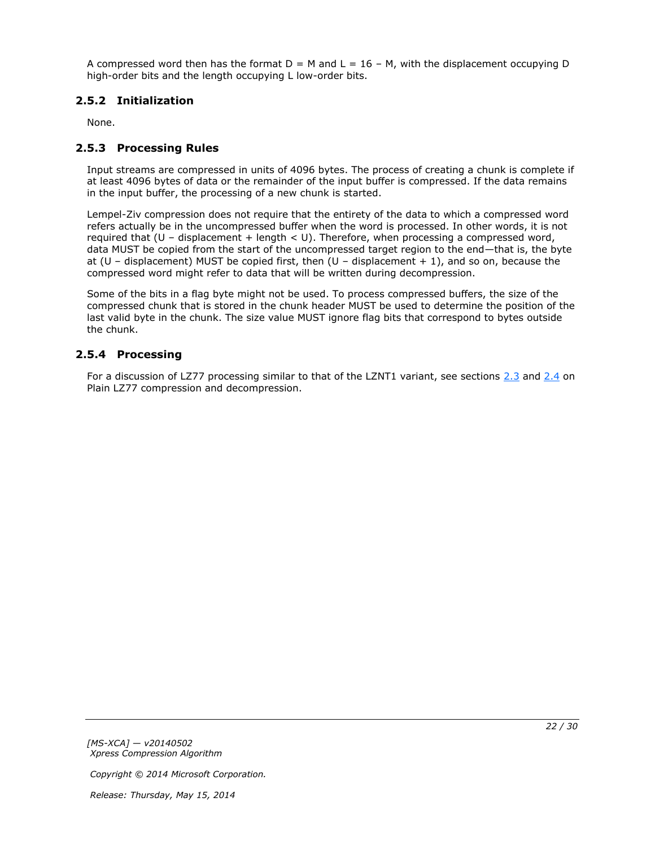A compressed word then has the format  $D = M$  and  $L = 16 - M$ , with the displacement occupying D high-order bits and the length occupying L low-order bits.

### <span id="page-21-0"></span>**2.5.2 Initialization**

<span id="page-21-5"></span><span id="page-21-3"></span>None.

### <span id="page-21-1"></span>**2.5.3 Processing Rules**

Input streams are compressed in units of 4096 bytes. The process of creating a chunk is complete if at least 4096 bytes of data or the remainder of the input buffer is compressed. If the data remains in the input buffer, the processing of a new chunk is started.

Lempel-Ziv compression does not require that the entirety of the data to which a compressed word refers actually be in the uncompressed buffer when the word is processed. In other words, it is not required that (U – displacement + length < U). Therefore, when processing a compressed word, data MUST be copied from the start of the uncompressed target region to the end—that is, the byte at (U – displacement) MUST be copied first, then (U – displacement  $+1$ ), and so on, because the compressed word might refer to data that will be written during decompression.

Some of the bits in a flag byte might not be used. To process compressed buffers, the size of the compressed chunk that is stored in the chunk header MUST be used to determine the position of the last valid byte in the chunk. The size value MUST ignore flag bits that correspond to bytes outside the chunk.

### <span id="page-21-2"></span>**2.5.4 Processing**

<span id="page-21-4"></span>For a discussion of LZ77 processing similar to that of the LZNT1 variant, see sections [2.3](#page-14-2) and [2.4](#page-16-5) on Plain LZ77 compression and decompression.

*[MS-XCA] — v20140502 Xpress Compression Algorithm* 

*Copyright © 2014 Microsoft Corporation.*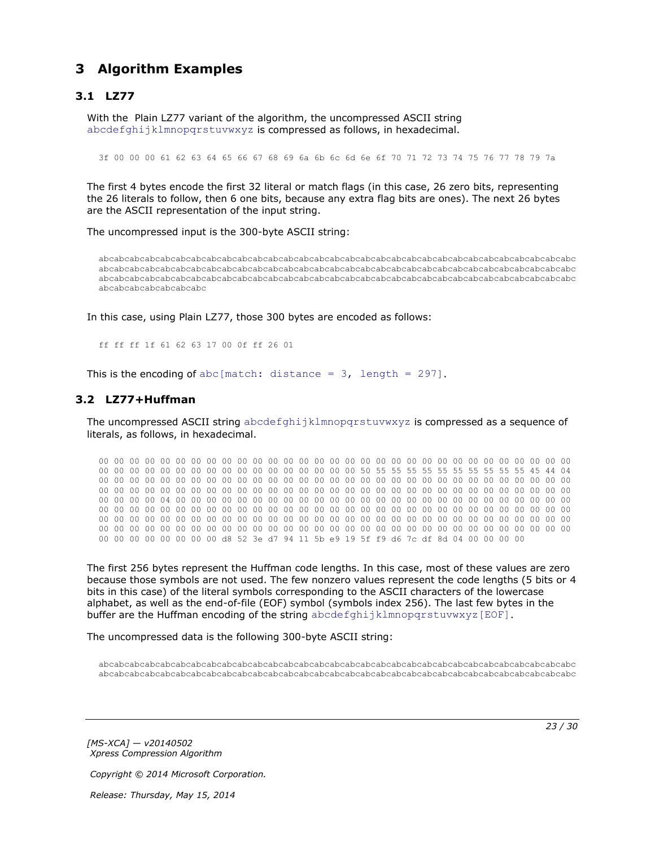## <span id="page-22-0"></span>**3 Algorithm Examples**

### <span id="page-22-1"></span>**3.1 LZ77**

<span id="page-22-3"></span>With the Plain LZ77 variant of the algorithm, the uncompressed ASCII string abcdefghijklmnopqrstuvwxyz is compressed as follows, in hexadecimal.

3f 00 00 00 61 62 63 64 65 66 67 68 69 6a 6b 6c 6d 6e 6f 70 71 72 73 74 75 76 77 78 79 7a

The first 4 bytes encode the first 32 literal or match flags (in this case, 26 zero bits, representing the 26 literals to follow, then 6 one bits, because any extra flag bits are ones). The next 26 bytes are the ASCII representation of the input string.

The uncompressed input is the 300-byte ASCII string:

abcabcabcabcabcabcabcabcabcabcabcabcabcabcabcabcabcabcabcabcabcabcabcabcabcabcabcabcabcabcabc abcabcabcabcabcabcabcabcabcabcabcabcabcabcabcabcabcabcabcabcabcabcabcabcabcabcabcabcabcabcabc abcabcabcabcabcabcabcabcabcabcabcabcabcabcabcabcabcabcabcabcabcabcabcabcabcabcabcabcabcabcabc abcabcabcabcabcabcabc

In this case, using Plain LZ77, those 300 bytes are encoded as follows:

<span id="page-22-4"></span>ff ff ff 1f 61 62 63 17 00 0f ff 26 01

This is the encoding of abc[match: distance =  $3$ , length = 297].

### <span id="page-22-2"></span>**3.2 LZ77+Huffman**

The uncompressed ASCII string abcdefghijklmnopgrstuvwxyz is compressed as a sequence of literals, as follows, in hexadecimal.

00 00 00 00 00 00 00 00 00 00 00 00 00 00 00 00 00 00 00 00 00 00 00 00 00 00 00 00 00 00 00 00 00 00 00 00 00 00 00 00 00 00 00 00 00 00 00 00 50 55 55 55 55 55 55 55 55 55 55 45 44 04 00 00 00 00 00 00 00 00 00 00 00 00 00 00 00 00 00 00 00 00 00 00 00 00 00 00 00 00 00 00 00 00 00 00 00 00 00 00 00 00 00 00 00 00 00 00 00 00 00 00 00 00 00 00 00 00 00 00 00 00 00 00 00 00 00 00 04 00 00 00 00 00 00 00 00 00 00 00 00 00 00 00 00 00 00 00 00 00 00 00 00 00 00 00 00 00 00 00 00 00 00 00 00 00 00 00 00 00 00 00 00 00 00 00 00 00 00 00 00 00 00 00 00 00 00 00 00 00 00 00 00 00 00 00 00 00 00 00 00 00 00 00 00 00 00 00 00 00 00 00 00 00 00 00 00 00 00 00 00 00 00 00 00 00 00 00 00 00 00 00 00 00 00 00 00 00 00 00 00 00 00 00 00 00 00 00 00 00 00 00 00 00 00 00 d8 52 3e d7 94 11 5b e9 19 5f f9 d6 7c df 8d 04 00 00 00 00

The first 256 bytes represent the Huffman code lengths. In this case, most of these values are zero because those symbols are not used. The few nonzero values represent the code lengths (5 bits or 4 bits in this case) of the literal symbols corresponding to the ASCII characters of the lowercase alphabet, as well as the end-of-file (EOF) symbol (symbols index 256). The last few bytes in the buffer are the Huffman encoding of the string abcdefghijklmnopqrstuvwxyz[EOF].

The uncompressed data is the following 300-byte ASCII string:

abcabcabcabcabcabcabcabcabcabcabcabcabcabcabcabcabcabcabcabcabcabcabcabcabcabcabcabcabcabcabc abcabcabcabcabcabcabcabcabcabcabcabcabcabcabcabcabcabcabcabcabcabcabcabcabcabcabcabcabcabcabc

*[MS-XCA] — v20140502 Xpress Compression Algorithm*  *23 / 30*

*Copyright © 2014 Microsoft Corporation.*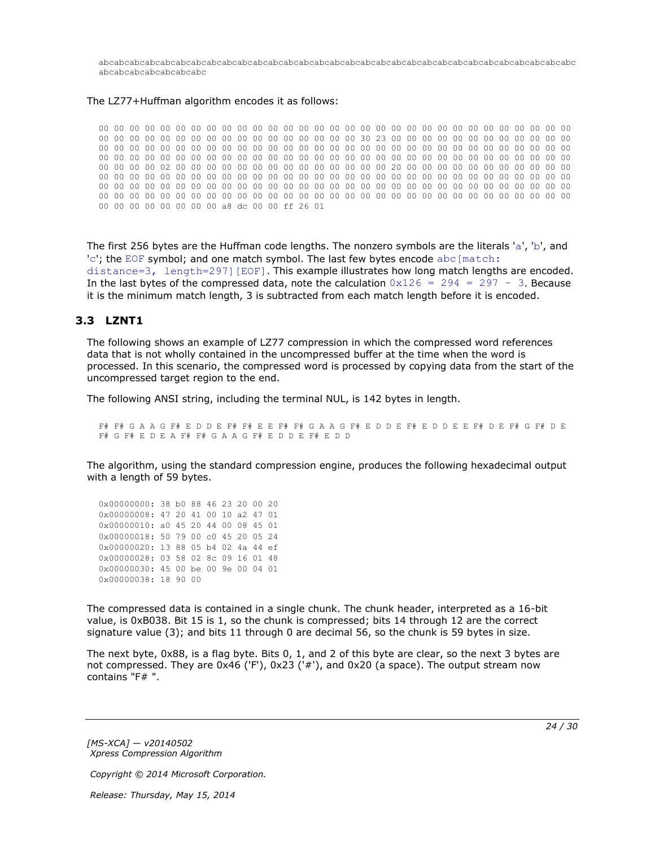abcabcabcabcabcabcabcabcabcabcabcabcabcabcabcabcabcabcabcabcabcabcabcabcabcabcabcabcabcabcabc abcabcabcabcabcabcabc

#### The LZ77+Huffman algorithm encodes it as follows:

00 00 00 00 00 00 00 00 00 00 00 00 00 00 00 00 00 00 00 00 00 00 00 00 00 00 00 00 00 00 00 00 00 00 00 00 00 00 00 00 00 00 00 00 00 00 00 00 30 23 00 00 00 00 00 00 00 00 00 00 00 00 00 00 00 00 00 00 00 00 00 00 00 00 00 00 00 00 00 00 00 00 00 00 00 00 00 00 00 00 00 00 00 00 00 00 00 00 00 00 00 00 00 00 00 00 00 00 00 00 00 00 00 00 00 00 00 00 00 00 00 00 00 00 00 00 00 00 02 00 00 00 00 00 00 00 00 00 00 00 00 00 00 20 00 00 00 00 00 00 00 00 00 00 00 00 00 00 00 00 00 00 00 00 00 00 00 00 00 00 00 00 00 00 00 00 00 00 00 00 00 00 00 00 00 00 00 00 00 00 00 00 00 00 00 00 00 00 00 00 00 00 00 00 00 00 00 00 00 00 00 00 00 00 00 00 00 00 00 00 00 00 00 00 00 00 00 00 00 00 00 00 00 00 00 00 00 00 00 00 00 00 00 00 00 00 00 00 00 00 00 00 00 00 00 00 a8 dc 00 00 ff 26 01

The first 256 bytes are the Huffman code lengths. The nonzero symbols are the literals 'a', 'b', and 'c'; the EOF symbol; and one match symbol. The last few bytes encode abc [match: distance=3, length=297][EOF]. This example illustrates how long match lengths are encoded. In the last bytes of the compressed data, note the calculation  $0x126 = 294 = 297 - 3$ . Because it is the minimum match length, 3 is subtracted from each match length before it is encoded.

#### <span id="page-23-0"></span>**3.3 LZNT1**

<span id="page-23-1"></span>The following shows an example of LZ77 compression in which the compressed word references data that is not wholly contained in the uncompressed buffer at the time when the word is processed. In this scenario, the compressed word is processed by copying data from the start of the uncompressed target region to the end.

The following ANSI string, including the terminal NUL, is 142 bytes in length.

F# F# G A A G F# E D D E F# F# E E F# F# G A A G F# E D D E F# E D D E E F# D E F# G F# D E F# G F# E D E A F# F# G A A G F# E D D E F# E D D

The algorithm, using the standard compression engine, produces the following hexadecimal output with a length of 59 bytes.

0x00000000: 38 b0 88 46 23 20 00 20 0x00000008: 47 20 41 00 10 a2 47 01 0x00000010: a0 45 20 44 00 08 45 01 0x00000018: 50 79 00 c0 45 20 05 24 0x00000020: 13 88 05 b4 02 4a 44 ef 0x00000028: 03 58 02 8c 09 16 01 48 0x00000030: 45 00 be 00 9e 00 04 01 0x00000038: 18 90 00

The compressed data is contained in a single chunk. The chunk header, interpreted as a 16-bit value, is 0xB038. Bit 15 is 1, so the chunk is compressed; bits 14 through 12 are the correct signature value (3); and bits 11 through 0 are decimal 56, so the chunk is 59 bytes in size.

The next byte, 0x88, is a flag byte. Bits 0, 1, and 2 of this byte are clear, so the next 3 bytes are not compressed. They are 0x46 ('F'), 0x23 ('#'), and 0x20 (a space). The output stream now contains "F# ".

*[MS-XCA] — v20140502 Xpress Compression Algorithm* 

*Copyright © 2014 Microsoft Corporation.*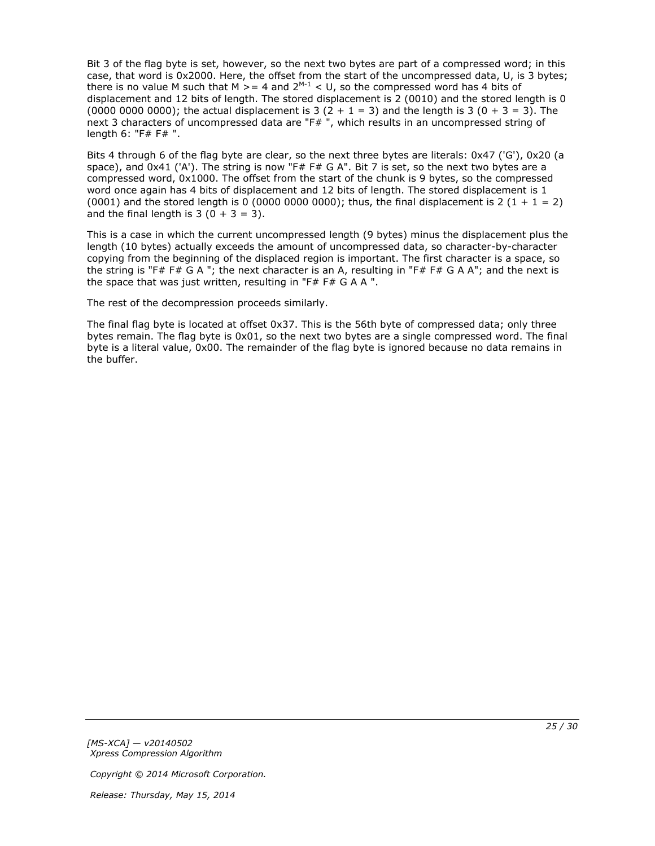Bit 3 of the flag byte is set, however, so the next two bytes are part of a compressed word; in this case, that word is 0x2000. Here, the offset from the start of the uncompressed data, U, is 3 bytes; there is no value M such that M  $>= 4$  and 2<sup>M-1</sup> < U, so the compressed word has 4 bits of displacement and 12 bits of length. The stored displacement is 2 (0010) and the stored length is 0 (0000 0000 0000); the actual displacement is 3  $(2 + 1 = 3)$  and the length is 3  $(0 + 3 = 3)$ . The next 3 characters of uncompressed data are "F#", which results in an uncompressed string of length 6: "F# F# ".

Bits 4 through 6 of the flag byte are clear, so the next three bytes are literals: 0x47 ('G'), 0x20 (a space), and  $0x41$  ('A'). The string is now "F# F# G A". Bit 7 is set, so the next two bytes are a compressed word, 0x1000. The offset from the start of the chunk is 9 bytes, so the compressed word once again has 4 bits of displacement and 12 bits of length. The stored displacement is 1 (0001) and the stored length is 0 (0000 0000 0000); thus, the final displacement is 2 (1 + 1 = 2) and the final length is  $3(0 + 3 = 3)$ .

This is a case in which the current uncompressed length (9 bytes) minus the displacement plus the length (10 bytes) actually exceeds the amount of uncompressed data, so character-by-character copying from the beginning of the displaced region is important. The first character is a space, so the string is "F# F# G A "; the next character is an A, resulting in "F# F# G A A"; and the next is the space that was just written, resulting in "F# F# G A A ".

The rest of the decompression proceeds similarly.

The final flag byte is located at offset 0x37. This is the 56th byte of compressed data; only three bytes remain. The flag byte is 0x01, so the next two bytes are a single compressed word. The final byte is a literal value, 0x00. The remainder of the flag byte is ignored because no data remains in the buffer.

*[MS-XCA] — v20140502 Xpress Compression Algorithm* 

*Copyright © 2014 Microsoft Corporation.*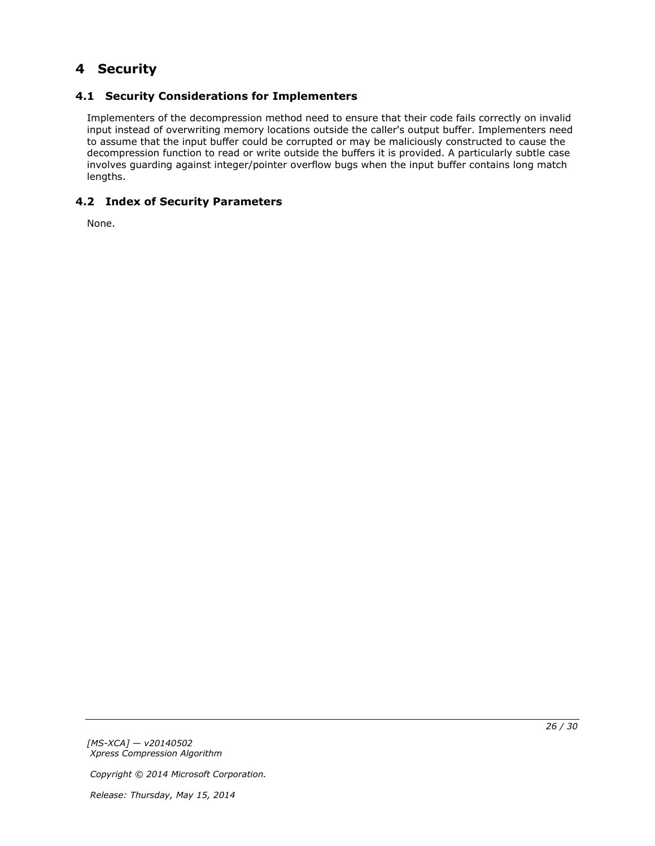# <span id="page-25-0"></span>**4 Security**

## <span id="page-25-1"></span>**4.1 Security Considerations for Implementers**

<span id="page-25-3"></span>Implementers of the decompression method need to ensure that their code fails correctly on invalid input instead of overwriting memory locations outside the caller's output buffer. Implementers need to assume that the input buffer could be corrupted or may be maliciously constructed to cause the decompression function to read or write outside the buffers it is provided. A particularly subtle case involves guarding against integer/pointer overflow bugs when the input buffer contains long match lengths.

## <span id="page-25-2"></span>**4.2 Index of Security Parameters**

<span id="page-25-4"></span>None.

*[MS-XCA] — v20140502 Xpress Compression Algorithm* 

*Copyright © 2014 Microsoft Corporation.*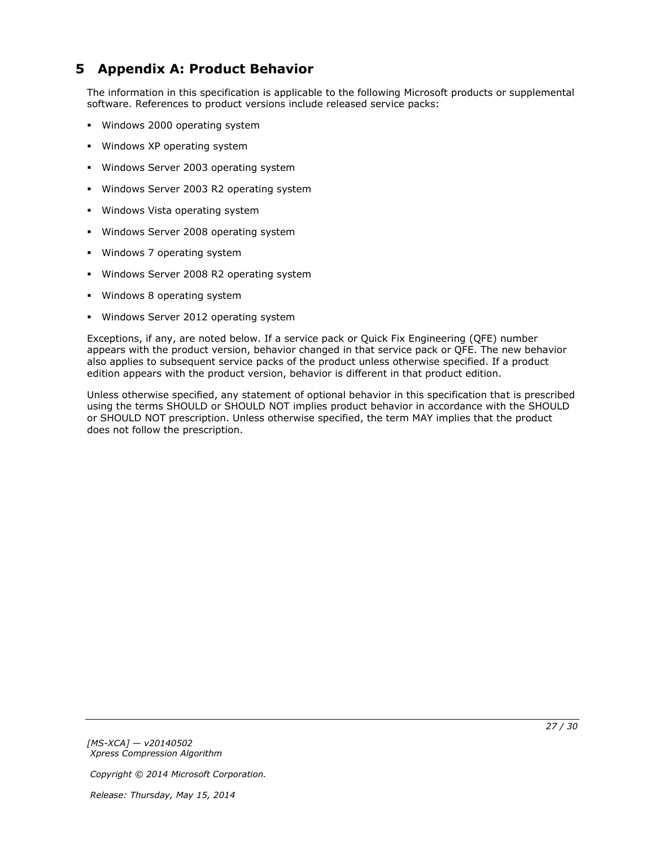# <span id="page-26-0"></span>**5 Appendix A: Product Behavior**

<span id="page-26-1"></span>The information in this specification is applicable to the following Microsoft products or supplemental software. References to product versions include released service packs:

- **Windows 2000 operating system**
- **Windows XP operating system**
- **Windows Server 2003 operating system**
- **Windows Server 2003 R2 operating system**
- **Windows Vista operating system**
- **Windows Server 2008 operating system**
- Windows 7 operating system
- Windows Server 2008 R2 operating system
- Windows 8 operating system
- **Windows Server 2012 operating system**

Exceptions, if any, are noted below. If a service pack or Quick Fix Engineering (QFE) number appears with the product version, behavior changed in that service pack or QFE. The new behavior also applies to subsequent service packs of the product unless otherwise specified. If a product edition appears with the product version, behavior is different in that product edition.

Unless otherwise specified, any statement of optional behavior in this specification that is prescribed using the terms SHOULD or SHOULD NOT implies product behavior in accordance with the SHOULD or SHOULD NOT prescription. Unless otherwise specified, the term MAY implies that the product does not follow the prescription.

*[MS-XCA] — v20140502 Xpress Compression Algorithm* 

*Copyright © 2014 Microsoft Corporation.*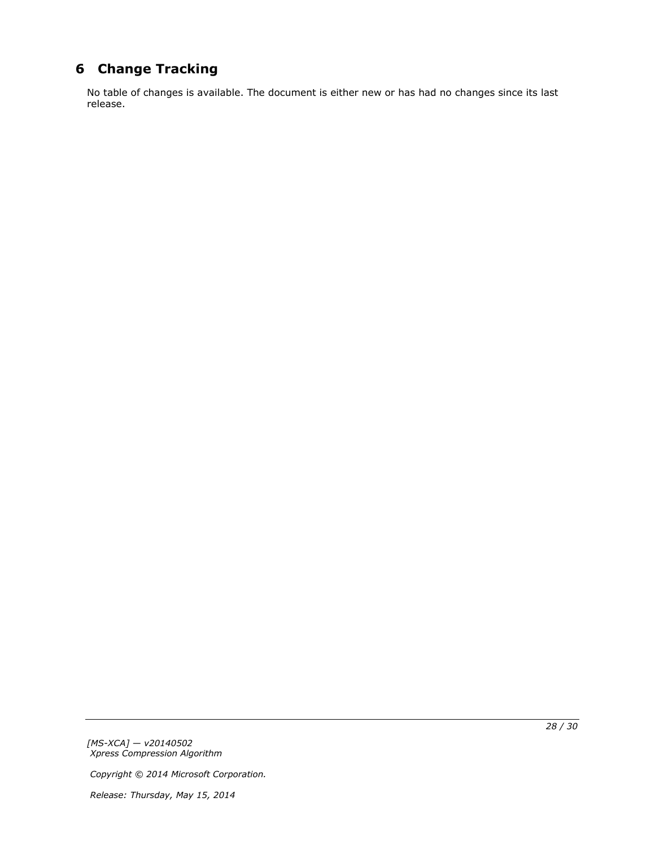# <span id="page-27-0"></span>**6 Change Tracking**

<span id="page-27-1"></span>No table of changes is available. The document is either new or has had no changes since its last release.

*[MS-XCA] — v20140502 Xpress Compression Algorithm* 

*Copyright © 2014 Microsoft Corporation.*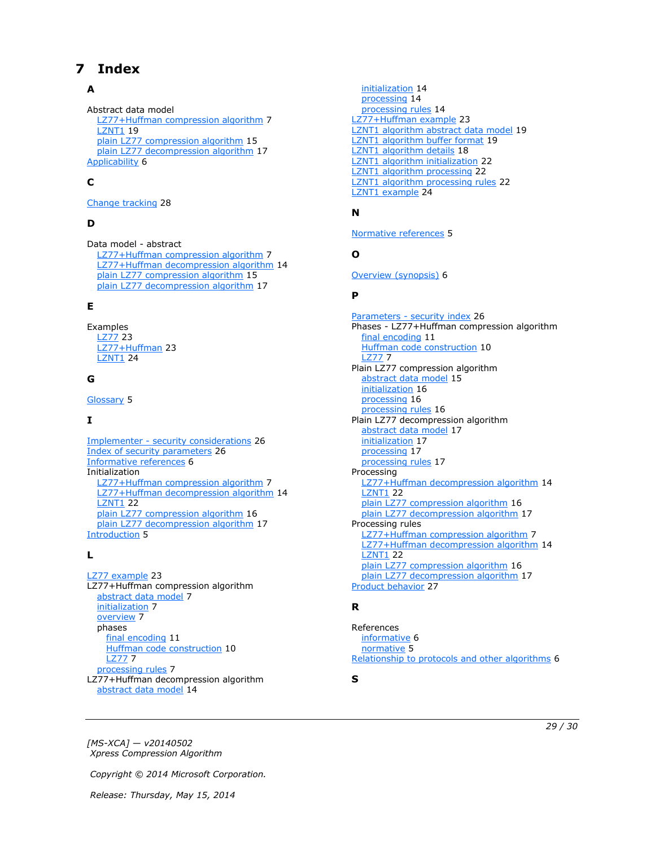# <span id="page-28-0"></span>**7 Index**

### **A**

Abstract data model [LZ77+Huffman compression algorithm](#page-6-8) 7 **[LZNT1](#page-18-2) 19** [plain LZ77 compression algorithm](#page-14-3) 15 [plain LZ77 decompression algorithm](#page-16-6) 17 [Applicability](#page-5-5) 6

### **C**

[Change tracking](#page-27-1) 28

### **D**

Data model - abstract [LZ77+Huffman compression algorithm](#page-6-8) 7 [LZ77+Huffman decompression algorithm](#page-13-5) 14 [plain LZ77 compression algorithm](#page-14-3) 15 [plain LZ77 decompression algorithm](#page-16-6) 17

### **E**

Examples [LZ77](#page-22-3) 23 [LZ77+Huffman](#page-22-4) 23 [LZNT1](#page-23-1) 24

### **G**

[Glossary](#page-4-10) 5

### **I**

Implementer - [security considerations](#page-25-3) 26 [Index of security parameters](#page-25-4) 26 [Informative references](#page-5-6) 6 Initialization [LZ77+Huffman compression algorithm](#page-6-9) 7 [LZ77+Huffman decompression algorithm](#page-13-6) 14 **[LZNT1](#page-21-3) 22** [plain LZ77 compression algorithm](#page-15-3) 16 [plain LZ77 decompression algorithm](#page-16-7) 17 [Introduction](#page-4-11) 5

### **L**

[LZ77 example](#page-22-3) 23 LZ77+Huffman compression algorithm [abstract data model](#page-6-8) 7 [initialization](#page-6-9) 7 [overview](#page-6-10) 7 phases [final encoding](#page-10-1) 11 [Huffman code construction](#page-9-1) 10 [LZ77](#page-6-7) 7 [processing rules](#page-6-11) 7 LZ77+Huffman decompression algorithm [abstract data model](#page-13-5) 14

[initialization](#page-13-6) 14 [processing](#page-13-7) 14 [processing rules](#page-13-8) 14 [LZ77+Huffman example](#page-22-4) 23 [LZNT1 algorithm abstract data model](#page-18-2) 19 [LZNT1 algorithm buffer format](#page-18-3) 19 [LZNT1 algorithm details](#page-17-1) 18 [LZNT1 algorithm initialization](#page-21-3) 22 [LZNT1 algorithm processing](#page-21-4) 22 [LZNT1 algorithm processing rules](#page-21-5) 22 [LZNT1 example](#page-23-1) 24

## **N**

[Normative references](#page-4-12) 5

### **O**

[Overview \(synopsis\)](#page-5-7) 6

#### **P**

Parameters - [security index](#page-25-4) 26 Phases - LZ77+Huffman compression algorithm [final encoding](#page-10-1) 11 [Huffman code construction](#page-9-1) 10 [LZ77](#page-6-7) 7 Plain LZ77 compression algorithm [abstract data model](#page-14-3) 15 [initialization](#page-15-3) 16 [processing](#page-15-4) 16 [processing rules](#page-15-5) 16 Plain LZ77 decompression algorithm [abstract data model](#page-16-6) 17 [initialization](#page-16-7) 17 [processing](#page-16-8) 17 [processing rules](#page-16-9) 17 Processing [LZ77+Huffman decompression algorithm](#page-13-7) 14 **[LZNT1](#page-21-4) 22** [plain LZ77 compression algorithm](#page-15-4) 16 [plain LZ77 decompression algorithm](#page-16-8) 17 Processing rules [LZ77+Huffman compression algorithm](#page-6-11) 7 [LZ77+Huffman decompression algorithm](#page-13-8) 14 **[LZNT1](#page-21-5) 22** [plain LZ77 compression algorithm](#page-15-5) 16 [plain LZ77 decompression algorithm](#page-16-9) 17 [Product behavior](#page-26-1) 27

### **R**

References [informative](#page-5-6) 6 [normative](#page-4-12) 5 [Relationship to protocols and other algorithms](#page-5-8) 6

**S**

*[MS-XCA] — v20140502 Xpress Compression Algorithm* 

*Copyright © 2014 Microsoft Corporation.* 

*Release: Thursday, May 15, 2014* 

#### *29 / 30*